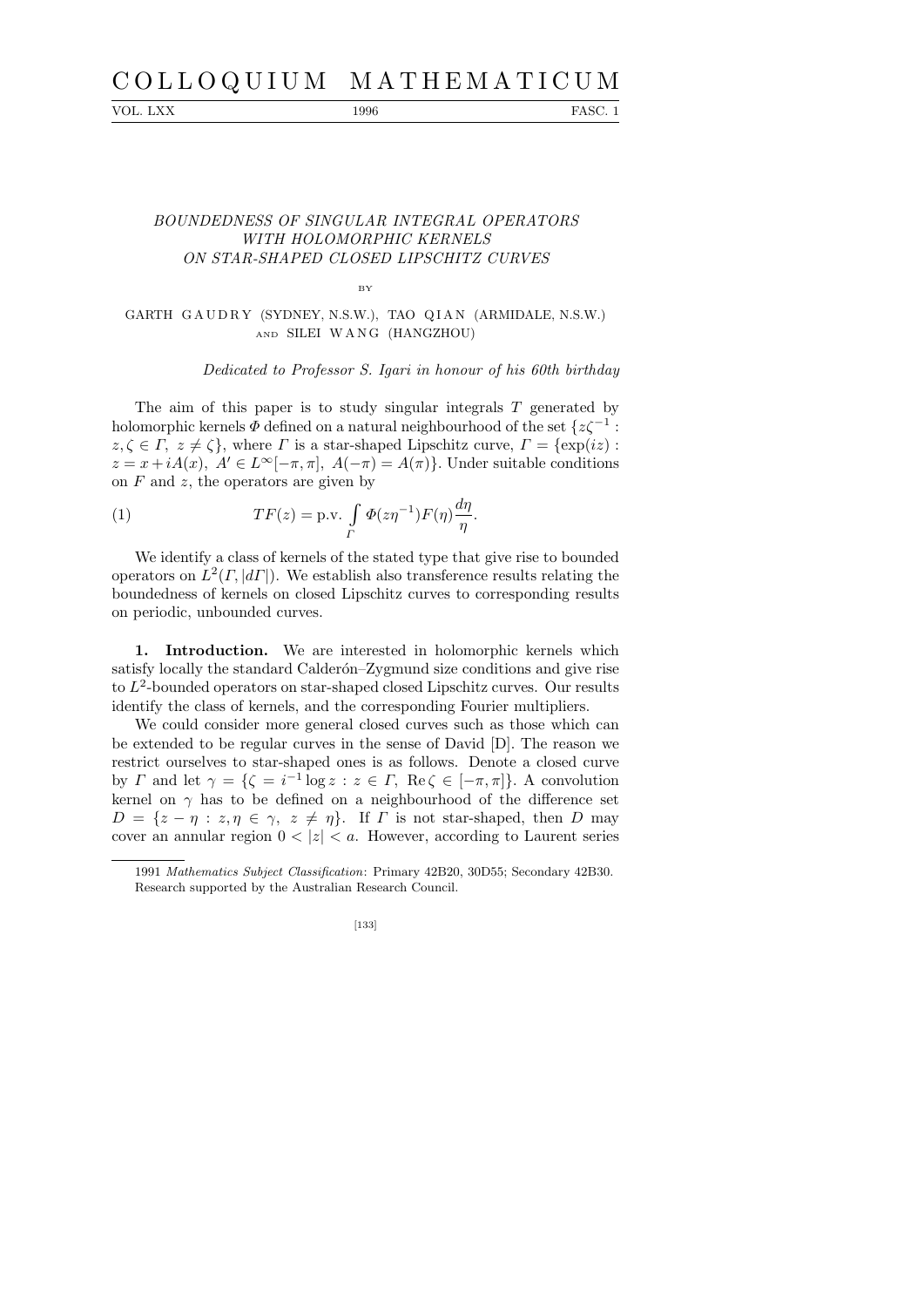## C O L L O Q U I U M M A T H E M A T I C U M

VOL. LXX 1996 FASC. 1

## BOUNDEDNESS OF SINGULAR INTEGRAL OPERATORS WITH HOLOMORPHIC KERNELS ON STAR-SHAPED CLOSED LIPSCHITZ CURVES

BY

GARTH GAUDRY (SYDNEY, N.S.W.), TAO QIAN (ARMIDALE, N.S.W.) AND SILEI W A N G (HANGZHOU)

Dedicated to Professor S. Igari in honour of his 60th birthday

The aim of this paper is to study singular integrals  $T$  generated by holomorphic kernels  $\varPhi$  defined on a natural neighbourhood of the set  $\{z\zeta^{-1}:\;$  $z, \zeta \in \Gamma$ ,  $z \neq \zeta$ , where  $\Gamma$  is a star-shaped Lipschitz curve,  $\Gamma = \{\exp(iz) :$  $z = x + iA(x), A' \in L^{\infty}[-\pi, \pi], A(-\pi) = A(\pi)$ . Under suitable conditions on  $F$  and  $z$ , the operators are given by

(1) 
$$
TF(z) = \text{p.v.} \int\limits_{\Gamma} \Phi(z\eta^{-1}) F(\eta) \frac{d\eta}{\eta}.
$$

We identify a class of kernels of the stated type that give rise to bounded operators on  $L^2(\Gamma, |d\Gamma|)$ . We establish also transference results relating the boundedness of kernels on closed Lipschitz curves to corresponding results on periodic, unbounded curves.

1. Introduction. We are interested in holomorphic kernels which satisfy locally the standard Calderón–Zygmund size conditions and give rise to  $L^2$ -bounded operators on star-shaped closed Lipschitz curves. Our results identify the class of kernels, and the corresponding Fourier multipliers.

We could consider more general closed curves such as those which can be extended to be regular curves in the sense of David [D]. The reason we restrict ourselves to star-shaped ones is as follows. Denote a closed curve by  $\Gamma$  and let  $\gamma = \{ \zeta = i^{-1} \log z : z \in \Gamma, \text{ Re } \zeta \in [-\pi, \pi] \}.$  A convolution kernel on  $\gamma$  has to be defined on a neighbourhood of the difference set  $D = \{z - \eta : z, \eta \in \gamma, z \neq \eta\}.$  If  $\Gamma$  is not star-shaped, then D may cover an annular region  $0 < |z| < a$ . However, according to Laurent series

[133]

<sup>1991</sup> *Mathematics Subject Classification*: Primary 42B20, 30D55; Secondary 42B30. Research supported by the Australian Research Council.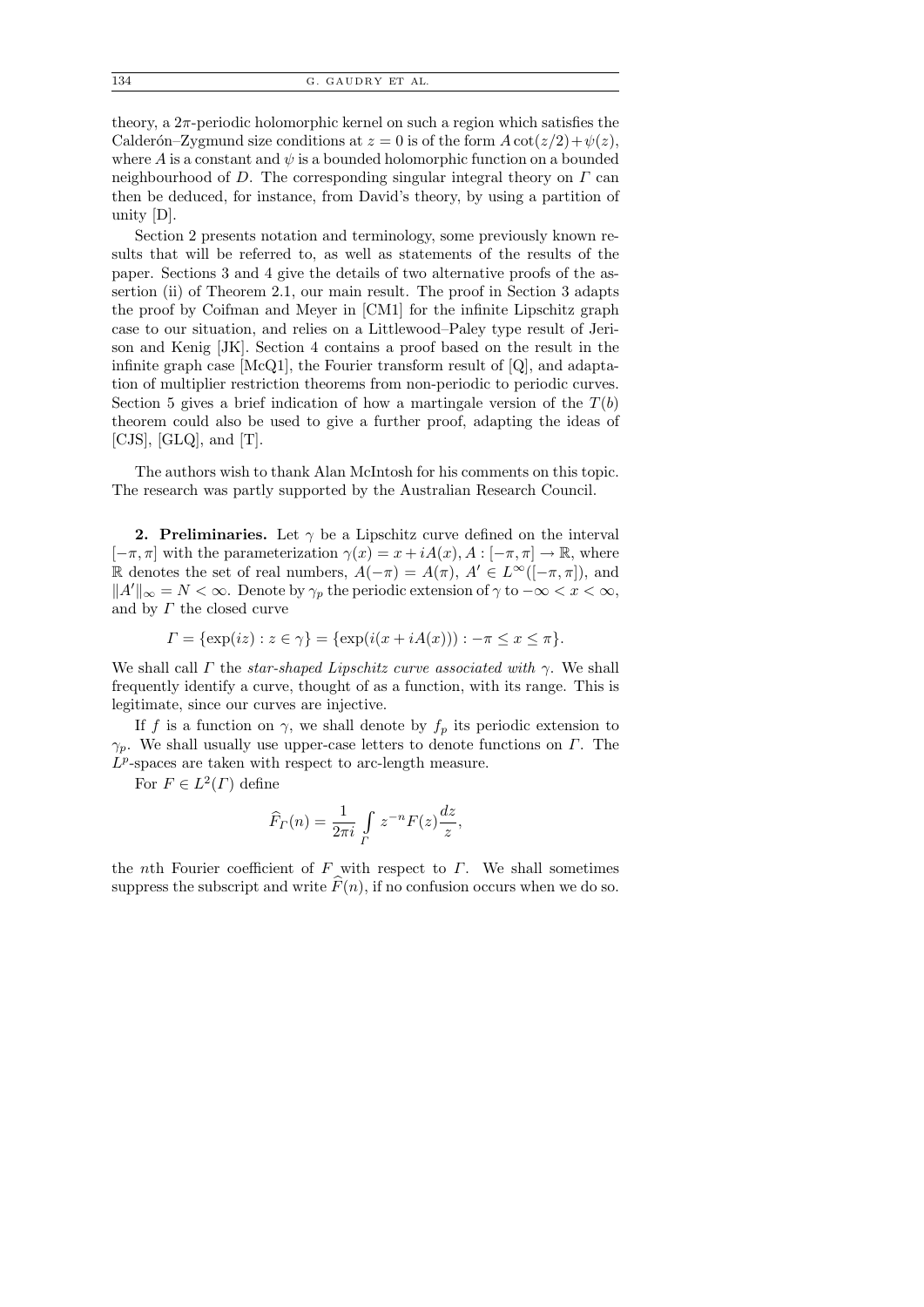theory, a  $2\pi$ -periodic holomorphic kernel on such a region which satisfies the Calderón–Zygmund size conditions at  $z = 0$  is of the form  $A \cot(z/2) + \psi(z)$ , where A is a constant and  $\psi$  is a bounded holomorphic function on a bounded neighbourhood of D. The corresponding singular integral theory on  $\Gamma$  can then be deduced, for instance, from David's theory, by using a partition of unity [D].

Section 2 presents notation and terminology, some previously known results that will be referred to, as well as statements of the results of the paper. Sections 3 and 4 give the details of two alternative proofs of the assertion (ii) of Theorem 2.1, our main result. The proof in Section 3 adapts the proof by Coifman and Meyer in [CM1] for the infinite Lipschitz graph case to our situation, and relies on a Littlewood–Paley type result of Jerison and Kenig [JK]. Section 4 contains a proof based on the result in the infinite graph case [McQ1], the Fourier transform result of [Q], and adaptation of multiplier restriction theorems from non-periodic to periodic curves. Section 5 gives a brief indication of how a martingale version of the  $T(b)$ theorem could also be used to give a further proof, adapting the ideas of  $[CJS], [GLQ],$  and  $[T].$ 

The authors wish to thank Alan McIntosh for his comments on this topic. The research was partly supported by the Australian Research Council.

**2. Preliminaries.** Let  $\gamma$  be a Lipschitz curve defined on the interval  $[-\pi, \pi]$  with the parameterization  $\gamma(x) = x + iA(x), A : [-\pi, \pi] \to \mathbb{R}$ , where R denotes the set of real numbers,  $A(-\pi) = A(\pi)$ ,  $A' \in L^{\infty}([-\pi, \pi])$ , and  $||A'||_{\infty} = N < \infty$ . Denote by  $\gamma_p$  the periodic extension of  $\gamma$  to  $-\infty < x < \infty$ , and by  $\Gamma$  the closed curve

$$
\Gamma = \{ \exp(iz) : z \in \gamma \} = \{ \exp(i(x + iA(x))) : -\pi \le x \le \pi \}.
$$

We shall call  $\Gamma$  the *star-shaped Lipschitz curve associated with*  $\gamma$ . We shall frequently identify a curve, thought of as a function, with its range. This is legitimate, since our curves are injective.

If f is a function on  $\gamma$ , we shall denote by  $f_p$  its periodic extension to  $\gamma_p$ . We shall usually use upper-case letters to denote functions on  $\Gamma$ . The  $\overline{L^p}$ -spaces are taken with respect to arc-length measure.

For  $F \in L^2(\Gamma)$  define

$$
\widehat{F}_\Gamma(n) = \frac{1}{2\pi i} \int\limits_{\Gamma} z^{-n} F(z) \frac{dz}{z},
$$

the *nth* Fourier coefficient of  $F$  with respect to  $\Gamma$ . We shall sometimes suppress the subscript and write  $F(n)$ , if no confusion occurs when we do so.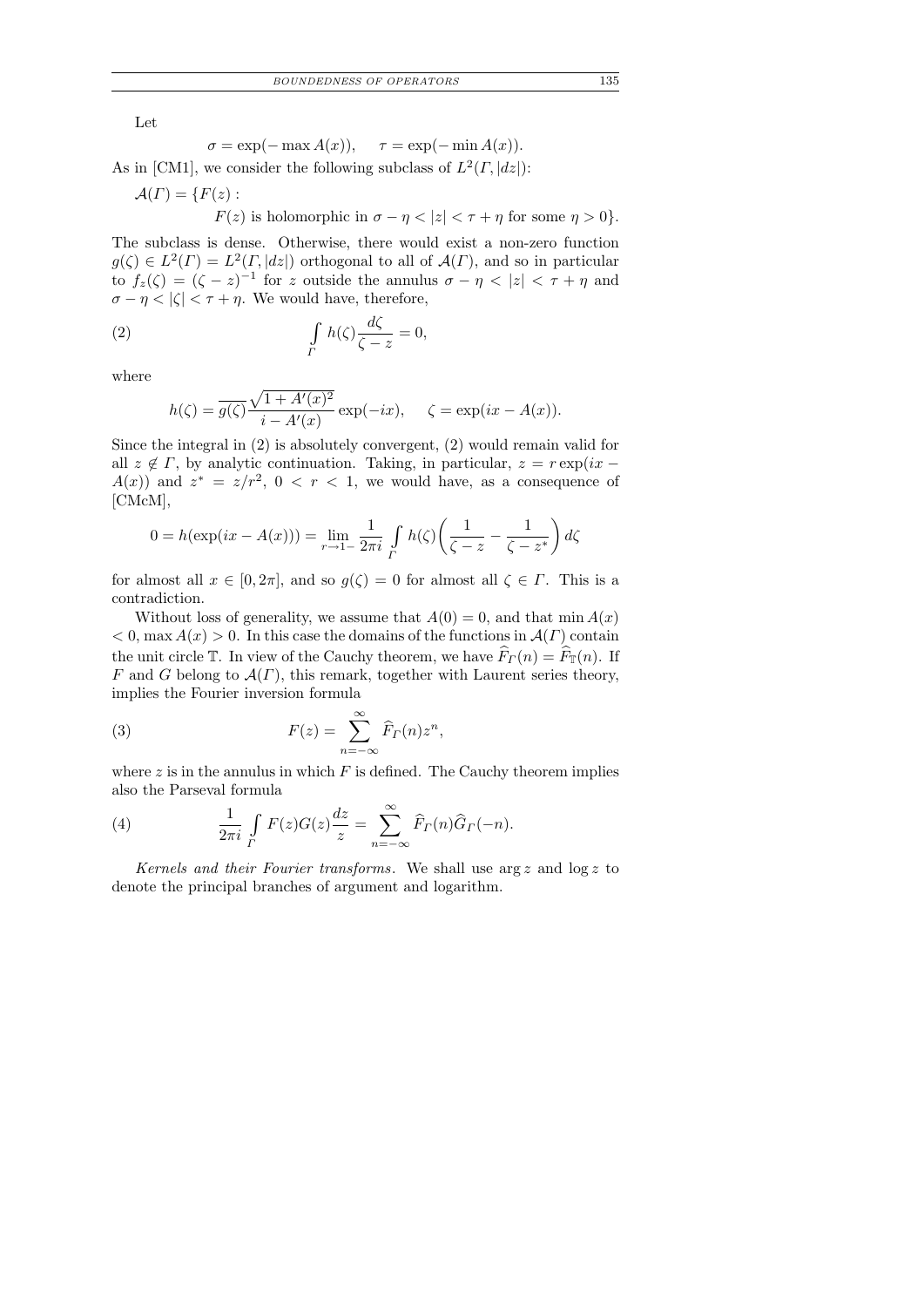Let

$$
\sigma = \exp(-\max A(x)), \quad \tau = \exp(-\min A(x)).
$$

As in [CM1], we consider the following subclass of  $L^2(\Gamma, |dz|)$ :

$$
\mathcal{A}(\Gamma)=\{F(z):
$$

 $F(z)$  is holomorphic in  $\sigma - \eta < |z| < \tau + \eta$  for some  $\eta > 0$ .

The subclass is dense. Otherwise, there would exist a non-zero function  $g(\zeta) \in L^2(\Gamma) = L^2(\Gamma, |dz|)$  orthogonal to all of  $\mathcal{A}(\Gamma)$ , and so in particular to  $f_z(\zeta) = (\zeta - z)^{-1}$  for z outside the annulus  $\sigma - \eta < |z| < \tau + \eta$  and  $\sigma - \eta < |\zeta| < \tau + \eta$ . We would have, therefore,

(2) 
$$
\int\limits_{\Gamma} h(\zeta) \frac{d\zeta}{\zeta - z} = 0,
$$

where

$$
h(\zeta) = \overline{g(\zeta)} \frac{\sqrt{1 + A'(x)^2}}{i - A'(x)} \exp(-ix), \quad \zeta = \exp(ix - A(x)).
$$

Since the integral in (2) is absolutely convergent, (2) would remain valid for all  $z \notin \Gamma$ , by analytic continuation. Taking, in particular,  $z = r \exp(ix A(x)$  and  $z^* = z/r^2$ ,  $0 < r < 1$ , we would have, as a consequence of [CMcM],

$$
0 = h(\exp(ix - A(x))) = \lim_{r \to 1^-} \frac{1}{2\pi i} \int_{\Gamma} h(\zeta) \left( \frac{1}{\zeta - z} - \frac{1}{\zeta - z^*} \right) d\zeta
$$

for almost all  $x \in [0, 2\pi]$ , and so  $g(\zeta) = 0$  for almost all  $\zeta \in \Gamma$ . This is a contradiction.

Without loss of generality, we assume that  $A(0) = 0$ , and that min  $A(x)$  $< 0$ , max  $A(x) > 0$ . In this case the domains of the functions in  $A(\Gamma)$  contain the unit circle T. In view of the Cauchy theorem, we have  $\widehat{F}_{\Gamma}(n) = \widehat{F}_{\Gamma}(n)$ . If F and G belong to  $\mathcal{A}(\Gamma)$ , this remark, together with Laurent series theory, implies the Fourier inversion formula

(3) 
$$
F(z) = \sum_{n=-\infty}^{\infty} \widehat{F}_T(n) z^n,
$$

where  $z$  is in the annulus in which  $F$  is defined. The Cauchy theorem implies also the Parseval formula

(4) 
$$
\frac{1}{2\pi i} \int\limits_{\Gamma} F(z)G(z) \frac{dz}{z} = \sum_{n=-\infty}^{\infty} \widehat{F}_\Gamma(n) \widehat{G}_\Gamma(-n).
$$

Kernels and their Fourier transforms. We shall use  $\arg z$  and  $\log z$  to denote the principal branches of argument and logarithm.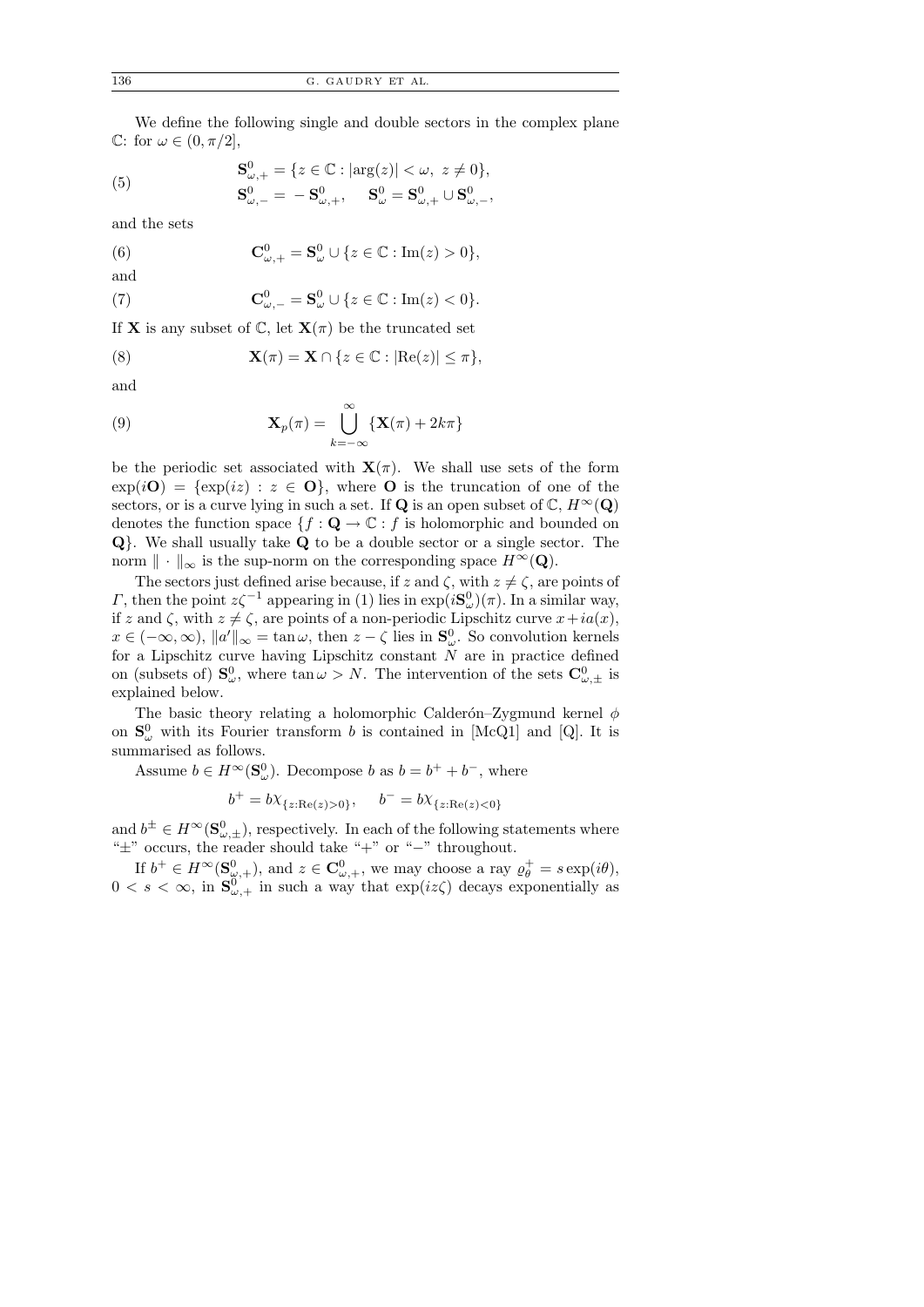We define the following single and double sectors in the complex plane C: for  $\omega \in (0, \pi/2],$ 

(5) 
$$
\mathbf{S}_{\omega,+}^{0} = \{ z \in \mathbb{C} : |\arg(z)| < \omega, \ z \neq 0 \}, \mathbf{S}_{\omega,-}^{0} = -\mathbf{S}_{\omega,+}^{0}, \quad \mathbf{S}_{\omega}^{0} = \mathbf{S}_{\omega,+}^{0} \cup \mathbf{S}_{\omega,-}^{0},
$$

and the sets

(6) 
$$
\mathbf{C}^0_{\omega,+} = \mathbf{S}^0_{\omega} \cup \{z \in \mathbb{C} : \text{Im}(z) > 0\},\
$$

and

(7) 
$$
\mathbf{C}^0_{\omega,-} = \mathbf{S}^0_{\omega} \cup \{z \in \mathbb{C} : \text{Im}(z) < 0\}.
$$

If **X** is any subset of  $\mathbb{C}$ , let  $\mathbf{X}(\pi)$  be the truncated set

(8) 
$$
\mathbf{X}(\pi) = \mathbf{X} \cap \{z \in \mathbb{C} : |\text{Re}(z)| \leq \pi\},
$$

and

(9) 
$$
\mathbf{X}_p(\pi) = \bigcup_{k=-\infty}^{\infty} \{ \mathbf{X}(\pi) + 2k\pi \}
$$

be the periodic set associated with  $\mathbf{X}(\pi)$ . We shall use sets of the form  $\exp(i\mathbf{O}) = {\exp(iz) : z \in \mathbf{O} }$ , where **O** is the truncation of one of the sectors, or is a curve lying in such a set. If Q is an open subset of  $\mathbb{C}, H^{\infty}(\mathbf{Q})$ denotes the function space  $\{f: \mathbf{Q} \to \mathbb{C} : f$  is holomorphic and bounded on Q}. We shall usually take Q to be a double sector or a single sector. The norm  $\|\cdot\|_{\infty}$  is the sup-norm on the corresponding space  $H^{\infty}(\mathbf{Q})$ .

The sectors just defined arise because, if z and  $\zeta$ , with  $z \neq \zeta$ , are points of  $Γ$ , then the point  $z\zeta^{-1}$  appearing in (1) lies in exp( $i\mathbf{S}^0_\omega$ )(π). In a similar way, if z and  $\zeta$ , with  $z \neq \zeta$ , are points of a non-periodic Lipschitz curve  $x + ia(x)$ ,  $x \in (-\infty, \infty)$ ,  $||a'||_{\infty} = \tan \omega$ , then  $z - \zeta$  lies in  $S^0_{\omega}$ . So convolution kernels for a Lipschitz curve having Lipschitz constant  $N$  are in practice defined on (subsets of)  $S^0_\omega$ , where  $\tan \omega > N$ . The intervention of the sets  $C^0_{\omega,\pm}$  is explained below.

The basic theory relating a holomorphic Calderón–Zygmund kernel  $\phi$ on  $S^0_\omega$  with its Fourier transform b is contained in [McQ1] and [Q]. It is summarised as follows.

Assume  $b \in H^{\infty}(\mathbf{S}_{\omega}^0)$ . Decompose b as  $b = b^+ + b^-$ , where

$$
b^+ = bX_{\{z: \text{Re}(z) > 0\}}, \quad b^- = bX_{\{z: \text{Re}(z) < 0\}}
$$

and  $b^{\pm} \in H^{\infty}(\mathbf{S}_{\omega,\pm}^0)$ , respectively. In each of the following statements where "±" occurs, the reader should take "+" or "−" throughout.

If  $b^+ \in H^{\infty}(\mathbf{S}_{\omega,+}^0)$ , and  $z \in \mathbf{C}_{\omega,+}^0$ , we may choose a ray  $\varrho_{\theta}^+ = s \exp(i\theta)$ ,  $0 < s < \infty$ , in  $S^{0}_{\omega,+}$  in such a way that  $\exp(iz\zeta)$  decays exponentially as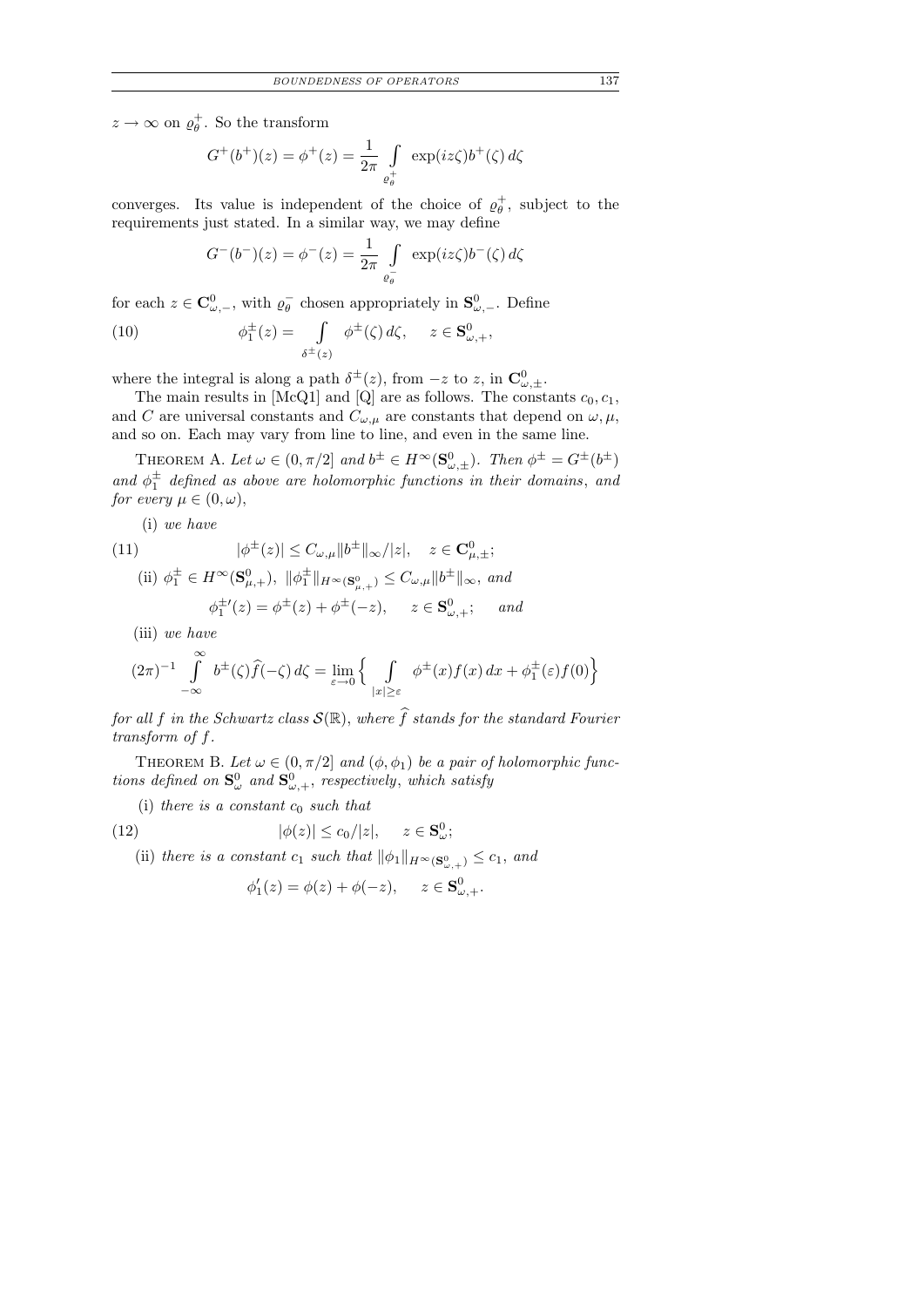$z \to \infty$  on  $\varrho_{\theta}^{+}$ . So the transform

$$
G^{+}(b^{+})(z) = \phi^{+}(z) = \frac{1}{2\pi} \int_{\varrho_{\theta}^{+}} \exp(iz\zeta) b^{+}(\zeta) d\zeta
$$

converges. Its value is independent of the choice of  $\varrho_{\theta}^{+}$ , subject to the requirements just stated. In a similar way, we may define

$$
G^{-}(b^{-})(z) = \phi^{-}(z) = \frac{1}{2\pi} \int_{\varrho_{\theta}^{-}} \exp(iz\zeta)b^{-}(\zeta) d\zeta
$$

for each  $z \in \mathbf{C}_{\omega,-}^0$ , with  $\varrho_{\theta}^ \bar{\theta}$  chosen appropriately in  $S^0_{\omega, -}$ . Define

(10) 
$$
\phi_1^{\pm}(z) = \int\limits_{\delta^{\pm}(z)} \phi^{\pm}(\zeta) d\zeta, \quad z \in \mathbf{S}_{\omega,+}^0,
$$

where the integral is along a path  $\delta^{\pm}(z)$ , from  $-z$  to z, in  $\mathbf{C}^0_{\omega,\pm}$ .

The main results in [McQ1] and [Q] are as follows. The constants  $c_0, c_1$ , and C are universal constants and  $C_{\omega,\mu}$  are constants that depend on  $\omega,\mu$ , and so on. Each may vary from line to line, and even in the same line.

THEOREM A. Let  $\omega \in (0, \pi/2]$  and  $b^{\pm} \in H^{\infty}(\mathbf{S}_{\omega, \pm}^0)$ . Then  $\phi^{\pm} = G^{\pm}(b^{\pm})$ and  $\phi_1^{\pm}$  defined as above are holomorphic functions in their domains, and for every  $\mu \in (0, \omega)$ ,

(i) we have

(11) 
$$
|\phi^{\pm}(z)| \leq C_{\omega,\mu} ||b^{\pm}||_{\infty} / |z|, \quad z \in \mathbf{C}_{\mu,\pm}^{0};
$$
  
(ii)  $\phi_{1}^{\pm} \in H^{\infty}(\mathbf{S}_{\mu,+}^{0}), ||\phi_{1}^{\pm}||_{H^{\infty}(\mathbf{S}_{\mu,+}^{0})} \leq C_{\omega,\mu} ||b^{\pm}||_{\infty}, \text{ and}$ 

$$
\phi_1^{\pm'}(z) = \phi^{\pm}(z) + \phi^{\pm}(-z), \quad z \in \mathbf{S}_{\omega,+}^0; \quad \text{and}
$$

(iii) we have

$$
(2\pi)^{-1} \int_{-\infty}^{\infty} b^{\pm}(\zeta)\widehat{f}(-\zeta) d\zeta = \lim_{\varepsilon \to 0} \left\{ \int_{|x| \ge \varepsilon} \phi^{\pm}(x)f(x) dx + \phi^{\pm}_1(\varepsilon)f(0) \right\}
$$

for all f in the Schwartz class  $\mathcal{S}(\mathbb{R})$ , where  $\widehat{f}$  stands for the standard Fourier transform of f.

THEOREM B. Let  $\omega \in (0, \pi/2]$  and  $(\phi, \phi_1)$  be a pair of holomorphic functions defined on  $\mathbf{S}_{\omega}^0$  and  $\mathbf{S}_{\omega,+}^0$ , respectively, which satisfy

(i) there is a constant  $c_0$  such that

(12) 
$$
|\phi(z)| \leq c_0/|z|, \quad z \in \mathbf{S}_{\omega}^0;
$$

(ii) there is a constant  $c_1$  such that  $\|\phi_1\|_{H^{\infty}(\mathbf{S}_{\omega,+}^0)} \leq c_1$ , and

$$
\phi'_1(z) = \phi(z) + \phi(-z), \quad z \in \mathbf{S}^0_{\omega,+}.
$$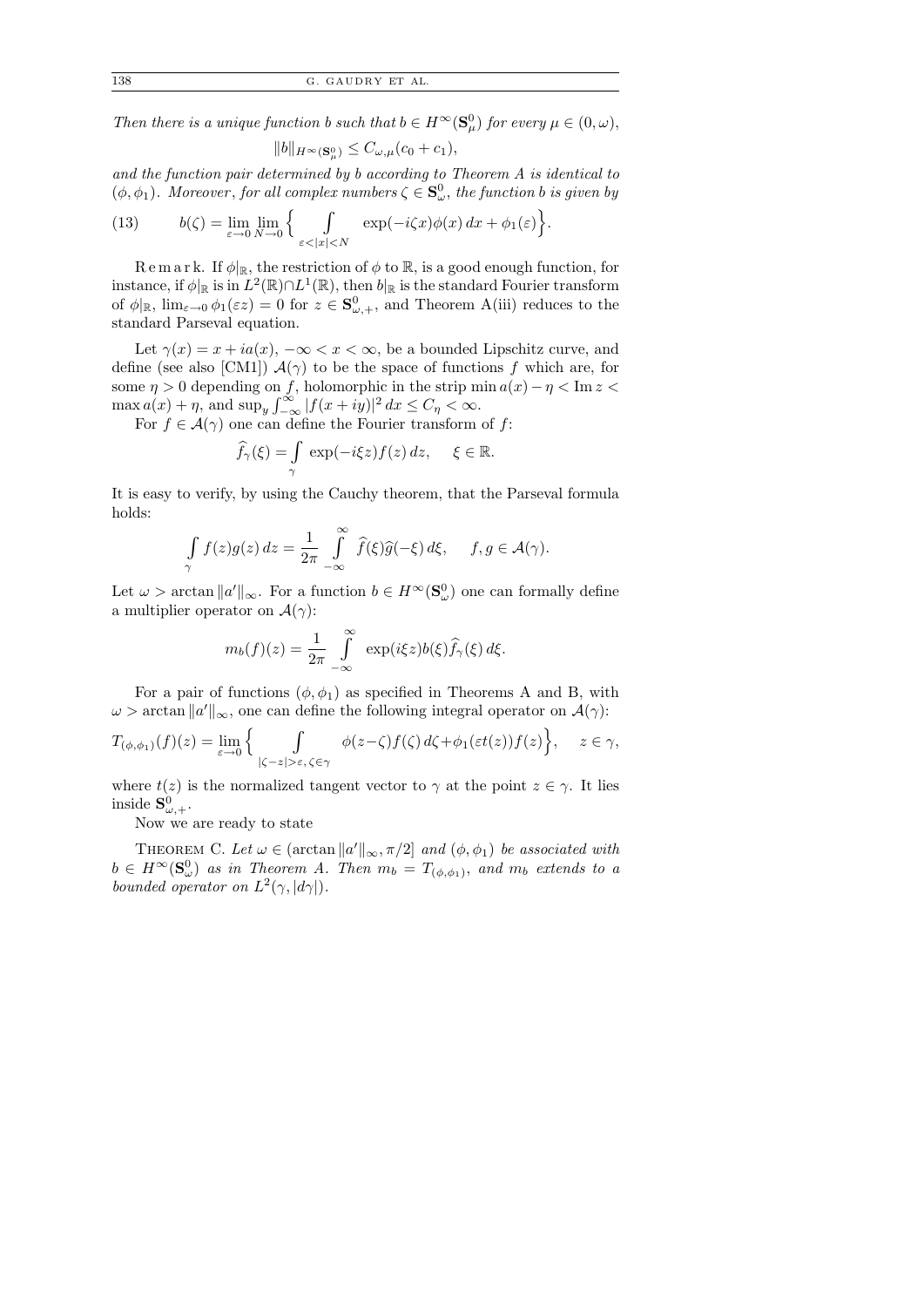Then there is a unique function b such that  $b \in H^{\infty}(\mathbf{S}_{\mu}^0)$  for every  $\mu \in (0, \omega)$ ,

$$
||b||_{H^{\infty}(\mathbf{S}_{\mu}^{0})} \leq C_{\omega,\mu}(c_{0}+c_{1}),
$$

and the function pair determined by b according to Theorem A is identical to  $(\phi, \phi_1)$ . Moreover, for all complex numbers  $\zeta \in \mathbf{S}_{\omega}^0$ , the function b is given by

(13) 
$$
b(\zeta) = \lim_{\varepsilon \to 0} \lim_{N \to 0} \left\{ \int_{\varepsilon < |x| < N} \exp(-i\zeta x) \phi(x) dx + \phi_1(\varepsilon) \right\}.
$$

R e m a r k. If  $\phi|_{\mathbb{R}}$ , the restriction of  $\phi$  to  $\mathbb{R}$ , is a good enough function, for instance, if  $\phi|_{\mathbb{R}}$  is in  $L^2(\mathbb{R}) \cap L^1(\mathbb{R})$ , then  $b|_{\mathbb{R}}$  is the standard Fourier transform of  $\phi|_{\mathbb{R}}$ ,  $\lim_{\varepsilon \to 0} \phi_1(\varepsilon z) = 0$  for  $z \in \mathbf{S}_{\omega,+}^0$ , and Theorem A(iii) reduces to the standard Parseval equation.

Let  $\gamma(x) = x + ia(x)$ ,  $-\infty < x < \infty$ , be a bounded Lipschitz curve, and define (see also [CM1])  $\mathcal{A}(\gamma)$  to be the space of functions f which are, for some  $\eta > 0$  depending on f, holomorphic in the strip min  $a(x) - \eta < \text{Im } z <$  $\max a(x) + \eta$ , and  $\sup_y \int_{-\infty}^{\infty} |f(x+iy)|^2 dx \le C_\eta < \infty$ .

For  $f \in \mathcal{A}(\gamma)$  one can define the Fourier transform of f:

$$
\widehat{f}_{\gamma}(\xi) = \int_{\gamma} \exp(-i\xi z) f(z) dz, \quad \xi \in \mathbb{R}.
$$

It is easy to verify, by using the Cauchy theorem, that the Parseval formula holds:

$$
\int_{\gamma} f(z)g(z) dz = \frac{1}{2\pi} \int_{-\infty}^{\infty} \widehat{f}(\xi)\widehat{g}(-\xi) d\xi, \quad f, g \in \mathcal{A}(\gamma).
$$

Let  $\omega > \arctan \|a'\|_{\infty}$ . For a function  $b \in H^{\infty}(\mathbf{S}_{\omega}^0)$  one can formally define a multiplier operator on  $\mathcal{A}(\gamma)$ :

$$
m_b(f)(z) = \frac{1}{2\pi} \int_{-\infty}^{\infty} \exp(i\xi z) b(\xi) \widehat{f}_{\gamma}(\xi) d\xi.
$$

For a pair of functions  $(\phi, \phi_1)$  as specified in Theorems A and B, with  $\omega > \arctan \|a'\|_{\infty}$ , one can define the following integral operator on  $\mathcal{A}(\gamma)$ :

$$
T_{(\phi,\phi_1)}(f)(z) = \lim_{\varepsilon \to 0} \Big\{ \int_{|\zeta - z| > \varepsilon, \, \zeta \in \gamma} \phi(z - \zeta) f(\zeta) \, d\zeta + \phi_1(\varepsilon t(z)) f(z) \Big\}, \quad z \in \gamma,
$$

where  $t(z)$  is the normalized tangent vector to  $\gamma$  at the point  $z \in \gamma$ . It lies inside  $\mathbf{S}_{\omega,+}^0$ .

Now we are ready to state

THEOREM C. Let  $\omega \in (\arctan ||a'||_{\infty}, \pi/2]$  and  $(\phi, \phi_1)$  be associated with  $b \in H^{\infty}(\mathbf{S}_{\omega}^0)$  as in Theorem A. Then  $m_b = T_{(\phi,\phi_1)}$ , and  $m_b$  extends to a bounded operator on  $L^2(\gamma, |d\gamma|)$ .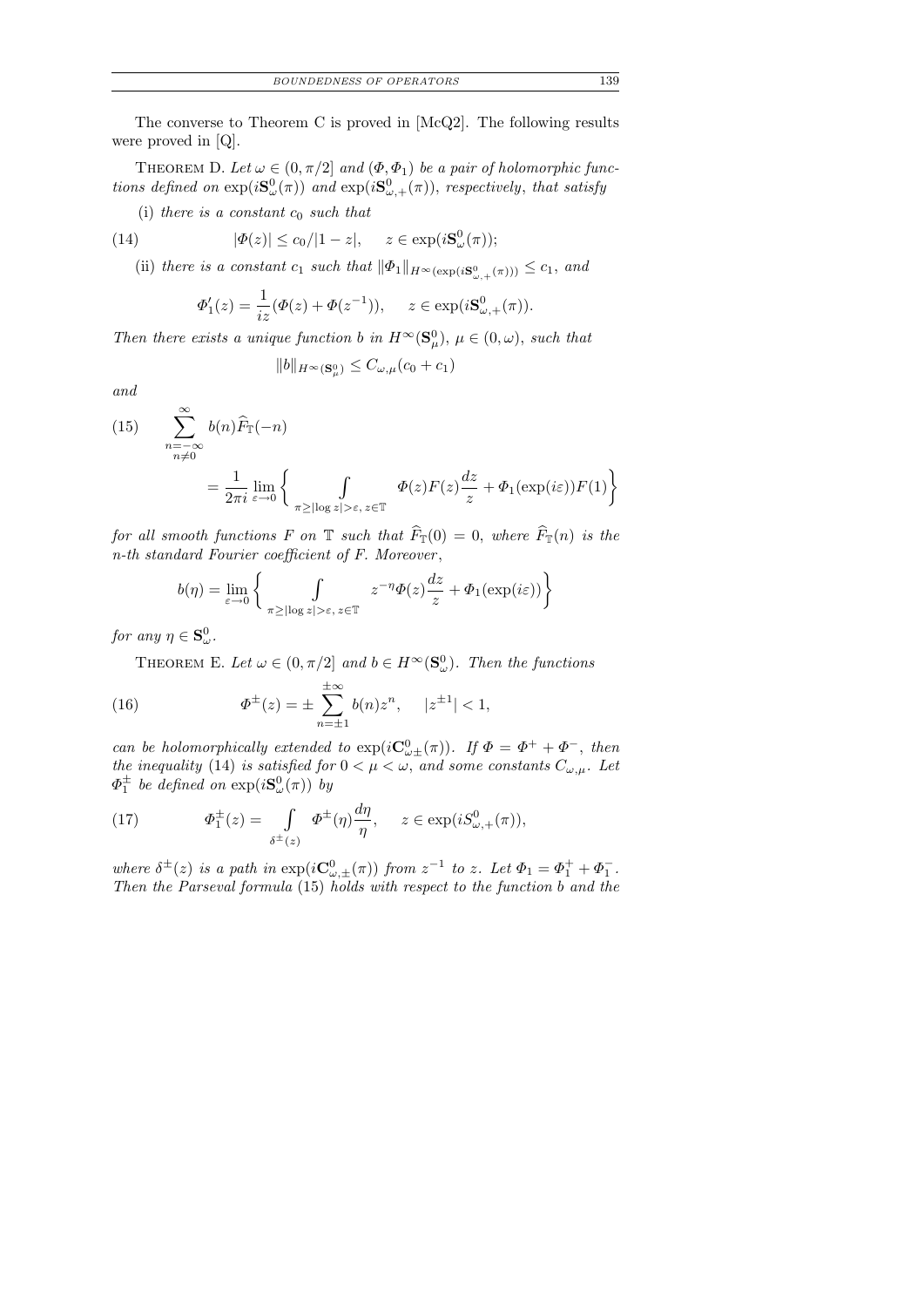The converse to Theorem C is proved in [McQ2]. The following results were proved in [Q].

THEOREM D. Let  $\omega \in (0, \pi/2]$  and  $(\Phi, \Phi_1)$  be a pair of holomorphic functions defined on  $\exp(iS^0_\omega(\pi))$  and  $\exp(iS^0_{\omega,+}(\pi))$ , respectively, that satisfy

(i) there is a constant  $c_0$  such that

(14) 
$$
|\Phi(z)| \leq c_0/|1-z|, \quad z \in \exp(i\mathbf{S}_{\omega}^0(\pi));
$$

(ii) there is a constant  $c_1$  such that  $\|\Phi_1\|_{H^{\infty}(\exp(iS^0_{\omega,+}(\pi)))} \leq c_1$ , and

$$
\Phi'_1(z) = \frac{1}{iz} (\Phi(z) + \Phi(z^{-1})), \quad z \in \exp(i\mathbf{S}_{\omega,+}^0(\pi)).
$$

Then there exists a unique function b in  $H^{\infty}(\mathbf{S}_{\mu}^{0}), \mu \in (0, \omega)$ , such that

$$
||b||_{H^{\infty}(\mathbf{S}_{\mu}^0)} \leq C_{\omega,\mu}(c_0 + c_1)
$$

and

(15) 
$$
\sum_{\substack{n=-\infty \ n\neq 0}}^{\infty} b(n)\widehat{F}_{\mathbb{T}}(-n)
$$

$$
= \frac{1}{2\pi i} \lim_{\varepsilon \to 0} \left\{ \int_{\pi \geq |\log z| > \varepsilon, z \in \mathbb{T}} \Phi(z) F(z) \frac{dz}{z} + \Phi_1(\exp(i\varepsilon)) F(1) \right\}
$$

for all smooth functions F on T such that  $\widehat{F}_{\mathbb{T}}(0) = 0$ , where  $\widehat{F}_{\mathbb{T}}(n)$  is the n-th standard Fourier coefficient of F. Moreover ,

$$
b(\eta) = \lim_{\varepsilon \to 0} \left\{ \int_{\pi \ge |\log z| > \varepsilon, z \in \mathbb{T}} z^{-\eta} \Phi(z) \frac{dz}{z} + \Phi_1(\exp(i\varepsilon)) \right\}
$$

for any  $\eta \in \mathbf{S}_{\omega}^0$ .

THEOREM E. Let  $\omega \in (0, \pi/2]$  and  $b \in H^{\infty}(\mathbf{S}_{\omega}^0)$ . Then the functions

(16) 
$$
\Phi^{\pm}(z) = \pm \sum_{n=\pm 1}^{\pm \infty} b(n) z^n, \quad |z^{\pm 1}| < 1,
$$

can be holomorphically extended to  $\exp(iC^0_{\omega\pm}(\pi))$ . If  $\Phi = \Phi^+ + \Phi^-$ , then the inequality (14) is satisfied for  $0 < \mu < \omega$ , and some constants  $C_{\omega,\mu}$ . Let  $\varPhi_{1}^{\pm}$  be defined on  $\exp(i {\bf S}^{0}_{\omega}(\pi))$  by

(17) 
$$
\Phi_1^{\pm}(z) = \int\limits_{\delta^{\pm}(z)} \Phi^{\pm}(\eta) \frac{d\eta}{\eta}, \quad z \in \exp(iS^0_{\omega,+}(\pi)),
$$

where  $\delta^{\pm}(z)$  is a path in  $\exp(i\mathbf{C}_{\omega,\pm}^{0}(\pi))$  from  $z^{-1}$  to z. Let  $\Phi_1 = \Phi_1^+ + \Phi_1^-$ . Then the Parseval formula (15) holds with respect to the function b and the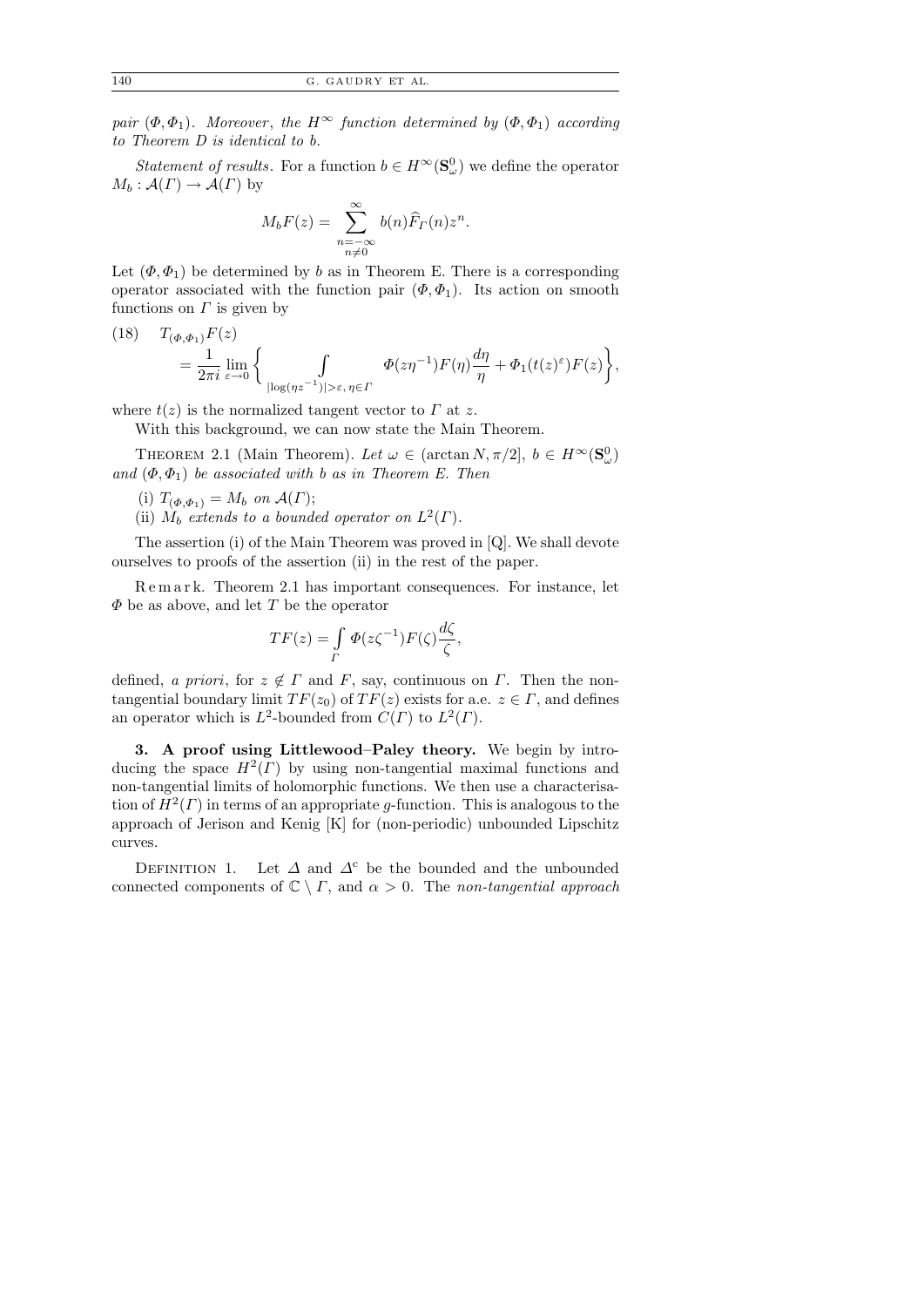140 G . GAUDRY ET AL.

pair  $(\Phi, \Phi_1)$ . Moreover, the H<sup>∞</sup> function determined by  $(\Phi, \Phi_1)$  according to Theorem D is identical to b.

Statement of results. For a function  $b \in H^{\infty}(\mathbf{S}_{\omega}^0)$  we define the operator  $M_b: \mathcal{A}(\Gamma) \to \mathcal{A}(\Gamma)$  by

$$
M_b F(z) = \sum_{\substack{n = -\infty \\ n \neq 0}}^{\infty} b(n) \widehat{F}_T(n) z^n.
$$

Let  $(\Phi, \Phi_1)$  be determined by b as in Theorem E. There is a corresponding operator associated with the function pair  $(\Phi, \Phi_1)$ . Its action on smooth functions on  $\Gamma$  is given by

(18) 
$$
T_{(\Phi,\Phi_1)}F(z)
$$
  
=  $\frac{1}{2\pi i} \lim_{\varepsilon \to 0} \left\{ \int_{|\log(\eta z^{-1})| > \varepsilon, \eta \in \Gamma} \Phi(z\eta^{-1})F(\eta) \frac{d\eta}{\eta} + \Phi_1(t(z)^{\varepsilon})F(z) \right\},$ 

where  $t(z)$  is the normalized tangent vector to  $\Gamma$  at z.

With this background, we can now state the Main Theorem.

THEOREM 2.1 (Main Theorem). Let  $\omega \in (\arctan N, \pi/2], b \in H^{\infty}(\mathbf{S}_{\omega}^0)$ and  $(\Phi, \Phi_1)$  be associated with b as in Theorem E. Then

- (i)  $T_{(\Phi,\Phi_1)} = M_b$  on  $\mathcal{A}(\Gamma);$
- (ii)  $\dot{M}_b$  extends to a bounded operator on  $L^2(\Gamma)$ .

The assertion (i) of the Main Theorem was proved in [Q]. We shall devote ourselves to proofs of the assertion (ii) in the rest of the paper.

R e m a r k. Theorem 2.1 has important consequences. For instance, let  $\Phi$  be as above, and let T be the operator

$$
TF(z) = \int\limits_{\Gamma} \Phi(z\zeta^{-1}) F(\zeta) \frac{d\zeta}{\zeta},
$$

defined, a priori, for  $z \notin \Gamma$  and F, say, continuous on  $\Gamma$ . Then the nontangential boundary limit  $TF(z_0)$  of  $TF(z)$  exists for a.e.  $z \in \Gamma$ , and defines an operator which is  $L^2$ -bounded from  $C(\Gamma)$  to  $L^2(\Gamma)$ .

3. A proof using Littlewood–Paley theory. We begin by introducing the space  $H^2(\Gamma)$  by using non-tangential maximal functions and non-tangential limits of holomorphic functions. We then use a characterisation of  $H^2(\Gamma)$  in terms of an appropriate g-function. This is analogous to the approach of Jerison and Kenig [K] for (non-periodic) unbounded Lipschitz curves.

DEFINITION 1. Let  $\Delta$  and  $\Delta^c$  be the bounded and the unbounded connected components of  $\mathbb{C} \setminus \Gamma$ , and  $\alpha > 0$ . The non-tangential approach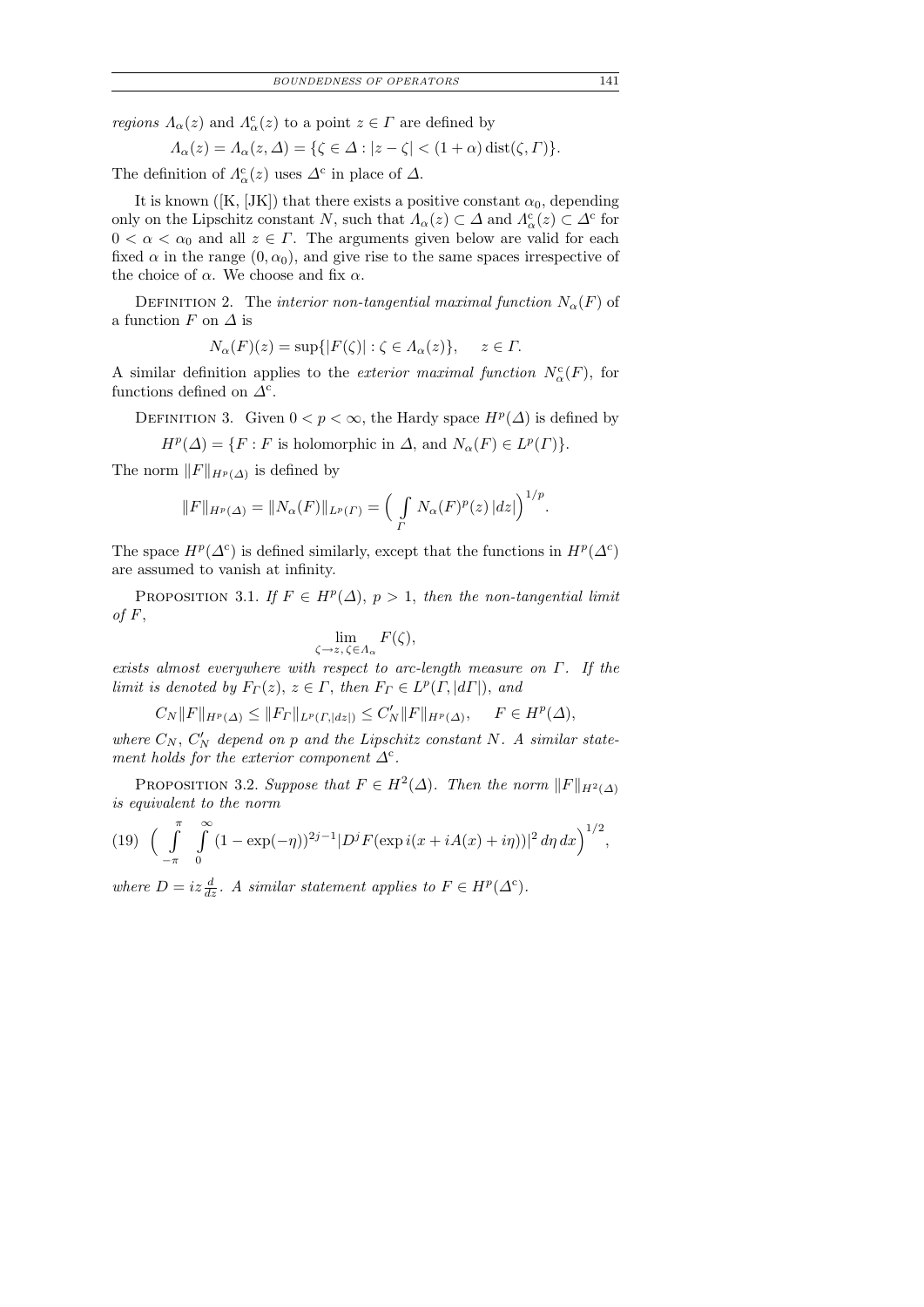*regions*  $\Lambda_{\alpha}(z)$  and  $\Lambda_{\alpha}^{c}(z)$  to a point  $z \in \Gamma$  are defined by

$$
\Lambda_{\alpha}(z) = \Lambda_{\alpha}(z,\Delta) = \{ \zeta \in \Delta : |z - \zeta| < (1 + \alpha) \operatorname{dist}(\zeta, \Gamma) \}.
$$

The definition of  $\Lambda^c_{\alpha}(z)$  uses  $\Delta^c$  in place of  $\Delta$ .

It is known ([K, [JK]) that there exists a positive constant  $\alpha_0$ , depending only on the Lipschitz constant N, such that  $\Lambda_{\alpha}(z) \subset \Delta$  and  $\Lambda_{\alpha}^{c}(z) \subset \Delta^{c}$  for  $0 < \alpha < \alpha_0$  and all  $z \in \Gamma$ . The arguments given below are valid for each fixed  $\alpha$  in the range  $(0, \alpha_0)$ , and give rise to the same spaces irrespective of the choice of  $\alpha$ . We choose and fix  $\alpha$ .

DEFINITION 2. The interior non-tangential maximal function  $N_{\alpha}(F)$  of a function F on  $\Delta$  is

$$
N_{\alpha}(F)(z) = \sup\{|F(\zeta)| : \zeta \in \Lambda_{\alpha}(z)\}, \quad z \in \Gamma.
$$

A similar definition applies to the *exterior maximal function*  $N_{\alpha}^{c}(F)$ , for functions defined on  $\Delta^c$ .

DEFINITION 3. Given  $0 < p < \infty$ , the Hardy space  $H^p(\Delta)$  is defined by

$$
H^p(\Delta) = \{ F : F \text{ is holomorphic in } \Delta, \text{ and } N_\alpha(F) \in L^p(\Gamma) \}.
$$

The norm  $||F||_{H^p(\Delta)}$  is defined by

$$
||F||_{H^p(\Delta)} = ||N_{\alpha}(F)||_{L^p(\Gamma)} = \left(\int\limits_{\Gamma} N_{\alpha}(F)^p(z) \, |dz|\right)^{1/p}.
$$

The space  $H^p(\Delta^c)$  is defined similarly, except that the functions in  $H^p(\Delta^c)$ are assumed to vanish at infinity.

PROPOSITION 3.1. If  $F \in H^p(\Delta)$ ,  $p > 1$ , then the non-tangential limit of  $F$ ,

$$
\lim_{\zeta \to z, \, \zeta \in \Lambda_{\alpha}} F(\zeta),
$$

exists almost everywhere with respect to arc-length measure on  $\Gamma$ . If the limit is denoted by  $F_{\Gamma}(z), z \in \Gamma$ , then  $F_{\Gamma} \in L^p(\Gamma, |d\Gamma|)$ , and

 $C_N ||F||_{H^p(\Delta)} \le ||F_{\Gamma}||_{L^p(\Gamma, |dz|)} \le C'_N ||F||_{H^p(\Delta)}, \quad F \in H^p(\Delta),$ 

where  $C_N$ ,  $C'_N$  depend on p and the Lipschitz constant N. A similar statement holds for the exterior component  $\Delta^c$ .

PROPOSITION 3.2. Suppose that  $F \in H^2(\Delta)$ . Then the norm  $||F||_{H^2(\Delta)}$ is equivalent to the norm

(19) 
$$
\left(\int_{-\pi}^{\pi} \int_{0}^{\infty} (1 - \exp(-\eta))^{2j-1} |D^j F(\exp i(x + iA(x) + i\eta))|^2 d\eta dx\right)^{1/2},
$$

where  $D = iz \frac{d}{dz}$ . A similar statement applies to  $F \in H^p(\Delta^c)$ .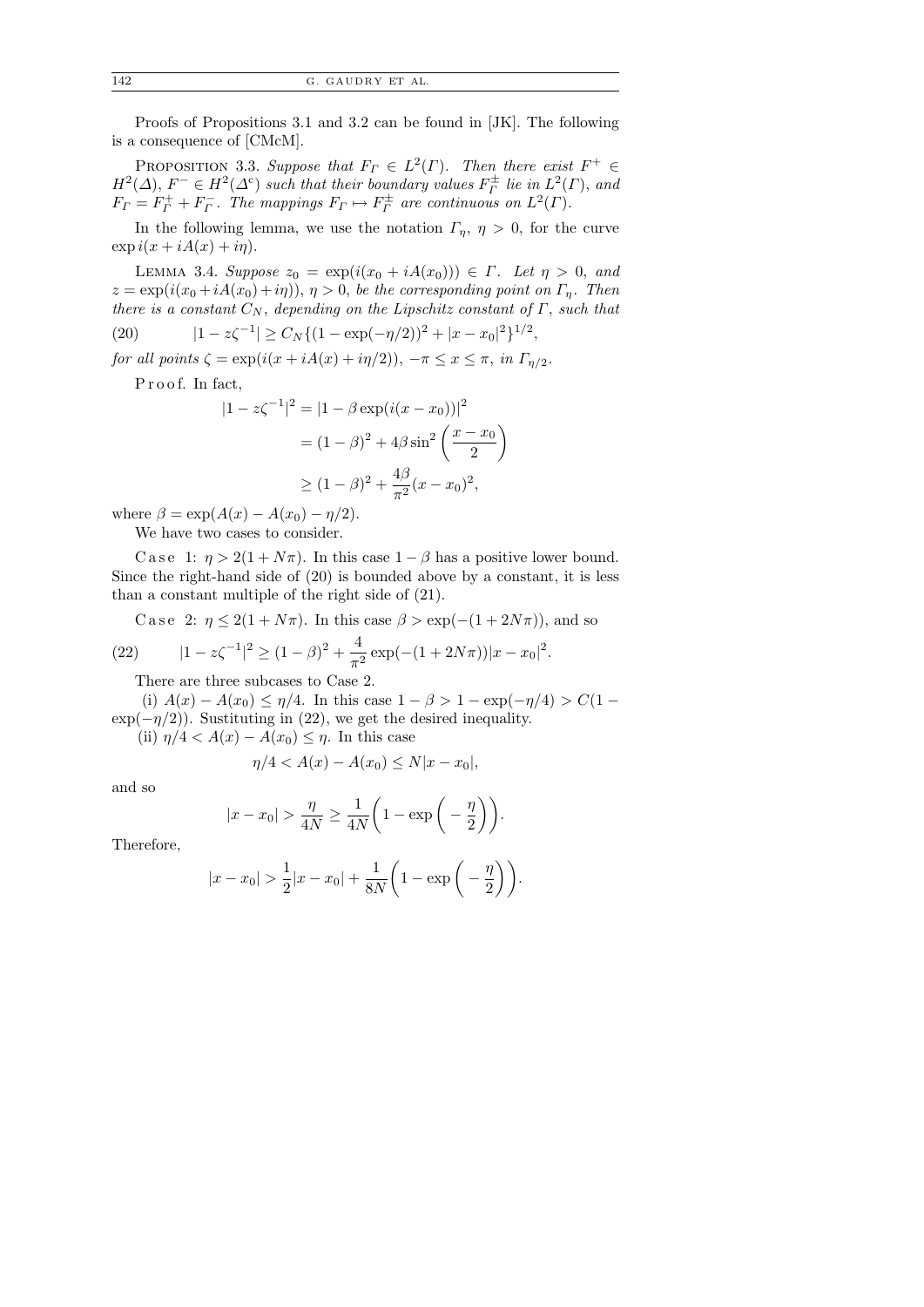Proofs of Propositions 3.1 and 3.2 can be found in [JK]. The following is a consequence of [CMcM].

PROPOSITION 3.3. Suppose that  $F_{\Gamma} \in L^2(\Gamma)$ . Then there exist  $F^+ \in$  $H^2(\Delta)$ ,  $F^- \in H^2(\Delta^c)$  such that their boundary values  $F^{\pm}_\Gamma$  lie in  $L^2(\Gamma)$ , and  $F_{\Gamma} = F_{\Gamma}^+ + F_{\Gamma}^-$ . The mappings  $F_{\Gamma} \mapsto F_{\Gamma}^{\pm}$  are continuous on  $L^2(\Gamma)$ .

In the following lemma, we use the notation  $\Gamma_{\eta}$ ,  $\eta > 0$ , for the curve  $\exp i(x + iA(x) + i\eta).$ 

LEMMA 3.4. Suppose  $z_0 = \exp(i(x_0 + iA(x_0))) \in \Gamma$ . Let  $\eta > 0$ , and  $z = \exp(i(x_0 + iA(x_0) + i\eta))$ ,  $\eta > 0$ , be the corresponding point on  $\Gamma_n$ . Then there is a constant  $C_N$ , depending on the Lipschitz constant of  $\Gamma$ , such that

(20)  $|1 - z\zeta^{-1}| \ge C_N \{ (1 - \exp(-\eta/2))^2 + |x - x_0|^2 \}^{1/2},$ 

for all points  $\zeta = \exp(i(x + iA(x) + i\eta/2))$ ,  $-\pi \le x \le \pi$ , in  $\Gamma_{\eta/2}$ .

Proof. In fact,

$$
|1 - z\zeta^{-1}|^2 = |1 - \beta \exp(i(x - x_0))|^2
$$
  
=  $(1 - \beta)^2 + 4\beta \sin^2\left(\frac{x - x_0}{2}\right)$   
 $\ge (1 - \beta)^2 + \frac{4\beta}{\pi^2}(x - x_0)^2,$ 

where  $\beta = \exp(A(x) - A(x_0) - \eta/2)$ .

We have two cases to consider.

C a s e 1:  $\eta > 2(1 + N\pi)$ . In this case  $1 - \beta$  has a positive lower bound. Since the right-hand side of (20) is bounded above by a constant, it is less than a constant multiple of the right side of (21).

C a se 2:  $\eta \leq 2(1 + N\pi)$ . In this case  $\beta > \exp(-(1 + 2N\pi))$ , and so 4

(22) 
$$
|1 - z\zeta^{-1}|^2 \ge (1 - \beta)^2 + \frac{4}{\pi^2} \exp(-(1 + 2N\pi))|x - x_0|^2.
$$

There are three subcases to Case 2.

(i)  $A(x) - A(x_0) \leq \eta/4$ . In this case  $1 - \beta > 1 - \exp(-\eta/4) > C(1 \exp(-\eta/2)$ ). Sustituting in (22), we get the desired inequality.

(ii)  $\eta/4 < A(x) - A(x_0) \leq \eta$ . In this case

$$
\eta/4 < A(x) - A(x_0) \le N|x - x_0|,
$$

and so

$$
|x - x_0| > \frac{\eta}{4N} \ge \frac{1}{4N} \left( 1 - \exp\left(-\frac{\eta}{2}\right) \right).
$$

Therefore,

$$
|x - x_0| > \frac{1}{2}|x - x_0| + \frac{1}{8N} \left(1 - \exp\left(-\frac{\eta}{2}\right)\right).
$$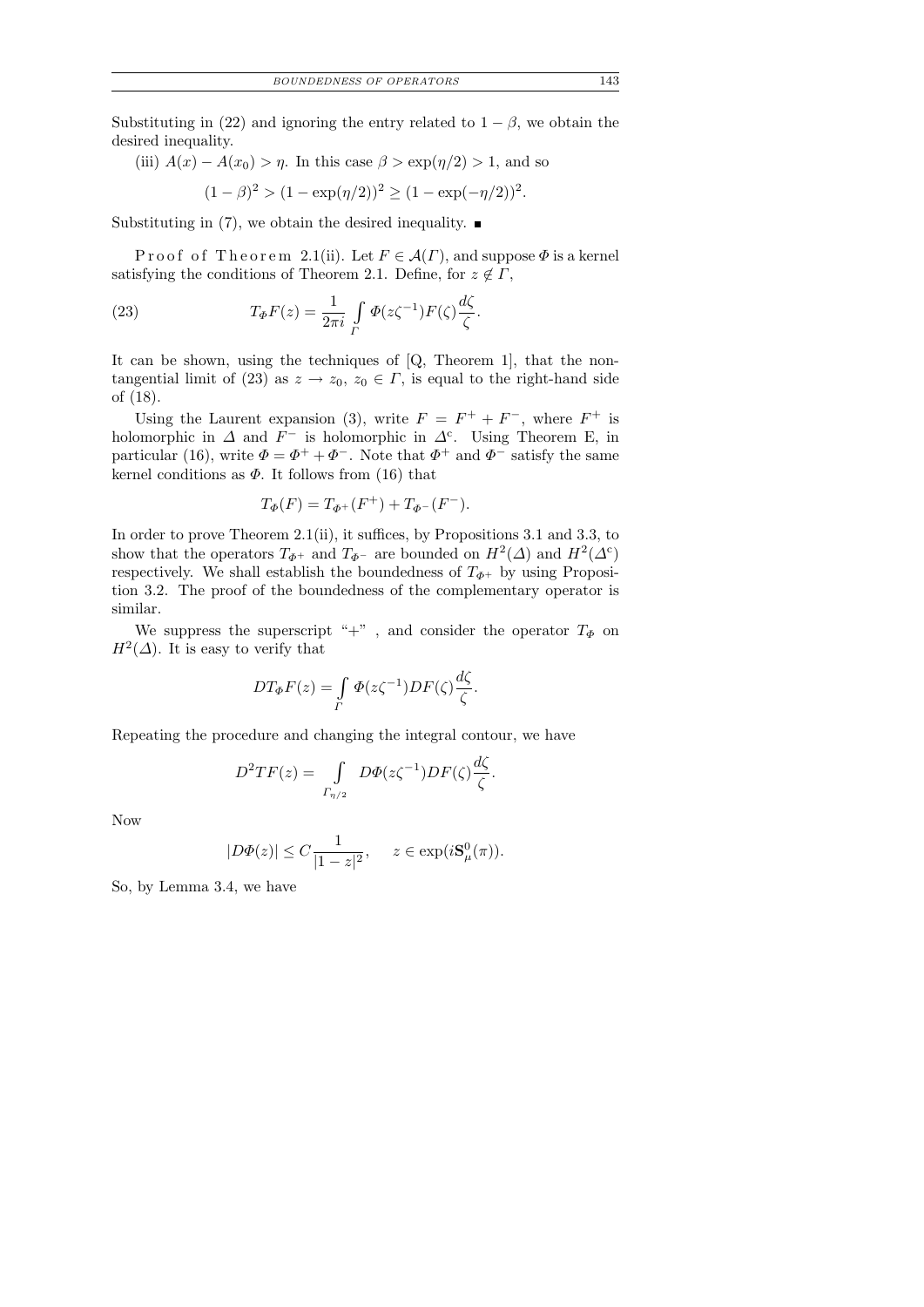Substituting in (22) and ignoring the entry related to  $1 - \beta$ , we obtain the desired inequality.

(iii) 
$$
A(x) - A(x_0) > \eta
$$
. In this case  $\beta > \exp(\eta/2) > 1$ , and so

$$
(1 - \beta)^2 > (1 - \exp(\eta/2))^2 \ge (1 - \exp(-\eta/2))^2.
$$

Substituting in (7), we obtain the desired inequality.

Proof of Theorem 2.1(ii). Let  $F \in \mathcal{A}(\Gamma)$ , and suppose  $\Phi$  is a kernel satisfying the conditions of Theorem 2.1. Define, for  $z \notin \Gamma$ ,

(23) 
$$
T_{\Phi}F(z) = \frac{1}{2\pi i} \int\limits_{\Gamma} \Phi(z\zeta^{-1}) F(\zeta) \frac{d\zeta}{\zeta}.
$$

It can be shown, using the techniques of [Q, Theorem 1], that the nontangential limit of (23) as  $z \to z_0$ ,  $z_0 \in \Gamma$ , is equal to the right-hand side of (18).

Using the Laurent expansion (3), write  $F = F^+ + F^-$ , where  $F^+$  is holomorphic in  $\Delta$  and  $F^-$  is holomorphic in  $\Delta^c$ . Using Theorem E, in particular (16), write  $\Phi = \Phi^+ + \Phi^-$ . Note that  $\Phi^+$  and  $\Phi^-$  satisfy the same kernel conditions as  $\Phi$ . It follows from (16) that

$$
T_{\Phi}(F) = T_{\Phi^+}(F^+) + T_{\Phi^-}(F^-).
$$

In order to prove Theorem 2.1(ii), it suffices, by Propositions 3.1 and 3.3, to show that the operators  $T_{\Phi^+}$  and  $T_{\Phi^-}$  are bounded on  $H^2(\Delta)$  and  $H^2(\Delta^c)$ respectively. We shall establish the boundedness of  $T_{\Phi^+}$  by using Proposition 3.2. The proof of the boundedness of the complementary operator is similar.

We suppress the superscript "+", and consider the operator  $T_{\Phi}$  on  $H^2(\Delta)$ . It is easy to verify that

$$
DT_{\Phi}F(z) = \int\limits_{\Gamma} \Phi(z\zeta^{-1})DF(\zeta)\frac{d\zeta}{\zeta}.
$$

Repeating the procedure and changing the integral contour, we have

$$
D^{2}TF(z) = \int\limits_{\Gamma_{\eta/2}} D\Phi(z\zeta^{-1})DF(\zeta)\frac{d\zeta}{\zeta}.
$$

Now

$$
|D\Phi(z)| \le C\frac{1}{|1-z|^2}, \quad z \in \exp(i\mathbf{S}^0_\mu(\pi)).
$$

So, by Lemma 3.4, we have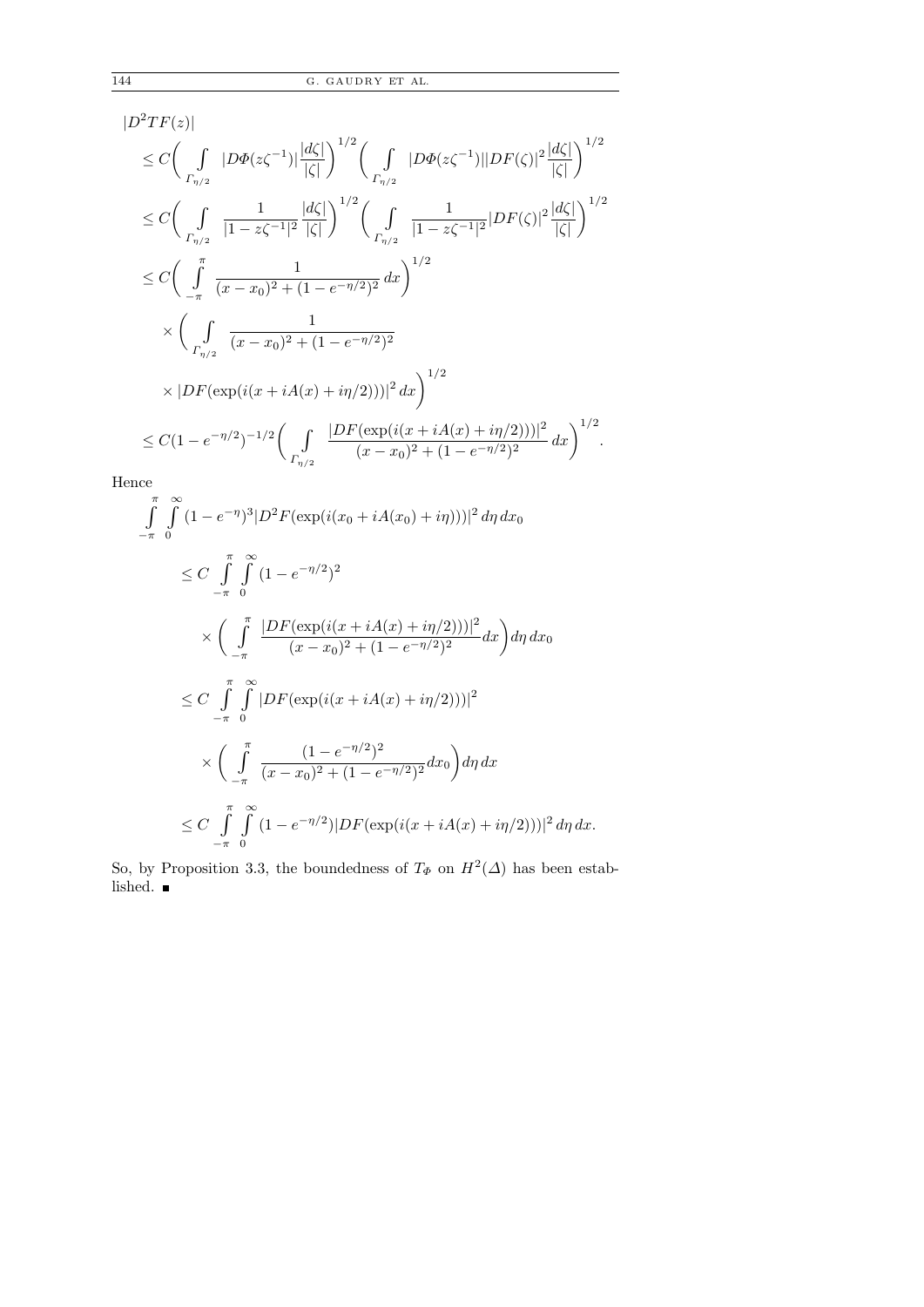$$
|D^{2}TF(z)|
$$
  
\n
$$
\leq C \Biggl( \int_{\Gamma_{\eta/2}} |D\Phi(z\zeta^{-1})| \frac{|d\zeta|}{|\zeta|} \Biggr)^{1/2} \Biggl( \int_{\Gamma_{\eta/2}} |D\Phi(z\zeta^{-1})| |DF(\zeta)|^{2} \frac{|d\zeta|}{|\zeta|} \Biggr)^{1/2}
$$
  
\n
$$
\leq C \Biggl( \int_{\Gamma_{\eta/2}} \frac{1}{|1-z\zeta^{-1}|^{2}} \frac{|d\zeta|}{|\zeta|} \Biggr)^{1/2} \Biggl( \int_{\Gamma_{\eta/2}} \frac{1}{|1-z\zeta^{-1}|^{2}} |DF(\zeta)|^{2} \frac{|d\zeta|}{|\zeta|} \Biggr)^{1/2}
$$
  
\n
$$
\leq C \Biggl( \int_{-\pi}^{\pi} \frac{1}{(x-x_{0})^{2} + (1-e^{-\eta/2})^{2}} dx \Biggr)^{1/2}
$$
  
\n
$$
\times \Biggl( \int_{\Gamma_{\eta/2}} \frac{1}{(x-x_{0})^{2} + (1-e^{-\eta/2})^{2}}
$$
  
\n
$$
\times |DF(\exp(i(x+iA(x)+i\eta/2)))|^{2} dx \Biggr)^{1/2}
$$
  
\n
$$
\leq C(1-e^{-\eta/2})^{-1/2} \Biggl( \int_{\Gamma_{\eta/2}} \frac{|DF(\exp(i(x+iA(x)+i\eta/2)))|^{2}}{(x-x_{0})^{2} + (1-e^{-\eta/2})^{2}} dx \Biggr)^{1/2}.
$$

Hence

$$
\int_{-\pi}^{\pi} \int_{0}^{\infty} (1 - e^{-\eta})^{3} |D^{2} F(\exp(i(x_{0} + iA(x_{0}) + i\eta)))|^{2} d\eta d x_{0}
$$
\n
$$
\leq C \int_{-\pi}^{\pi} \int_{0}^{\infty} (1 - e^{-\eta/2})^{2}
$$
\n
$$
\times \left( \int_{-\pi}^{\pi} \frac{|DF(\exp(i(x + iA(x) + i\eta/2)))|^{2}}{(x - x_{0})^{2} + (1 - e^{-\eta/2})^{2}} dx \right) d\eta d x_{0}
$$
\n
$$
\leq C \int_{-\pi}^{\pi} \int_{0}^{\infty} |DF(\exp(i(x + iA(x) + i\eta/2)))|^{2}
$$
\n
$$
\times \left( \int_{-\pi}^{\pi} \frac{(1 - e^{-\eta/2})^{2}}{(x - x_{0})^{2} + (1 - e^{-\eta/2})^{2}} dx_{0} \right) d\eta d x
$$
\n
$$
\leq C \int_{-\pi}^{\pi} \int_{0}^{\infty} (1 - e^{-\eta/2}) |DF(\exp(i(x + iA(x) + i\eta/2)))|^{2} d\eta d x.
$$

So, by Proposition 3.3, the boundedness of  $T_{\Phi}$  on  $H^2(\Delta)$  has been established.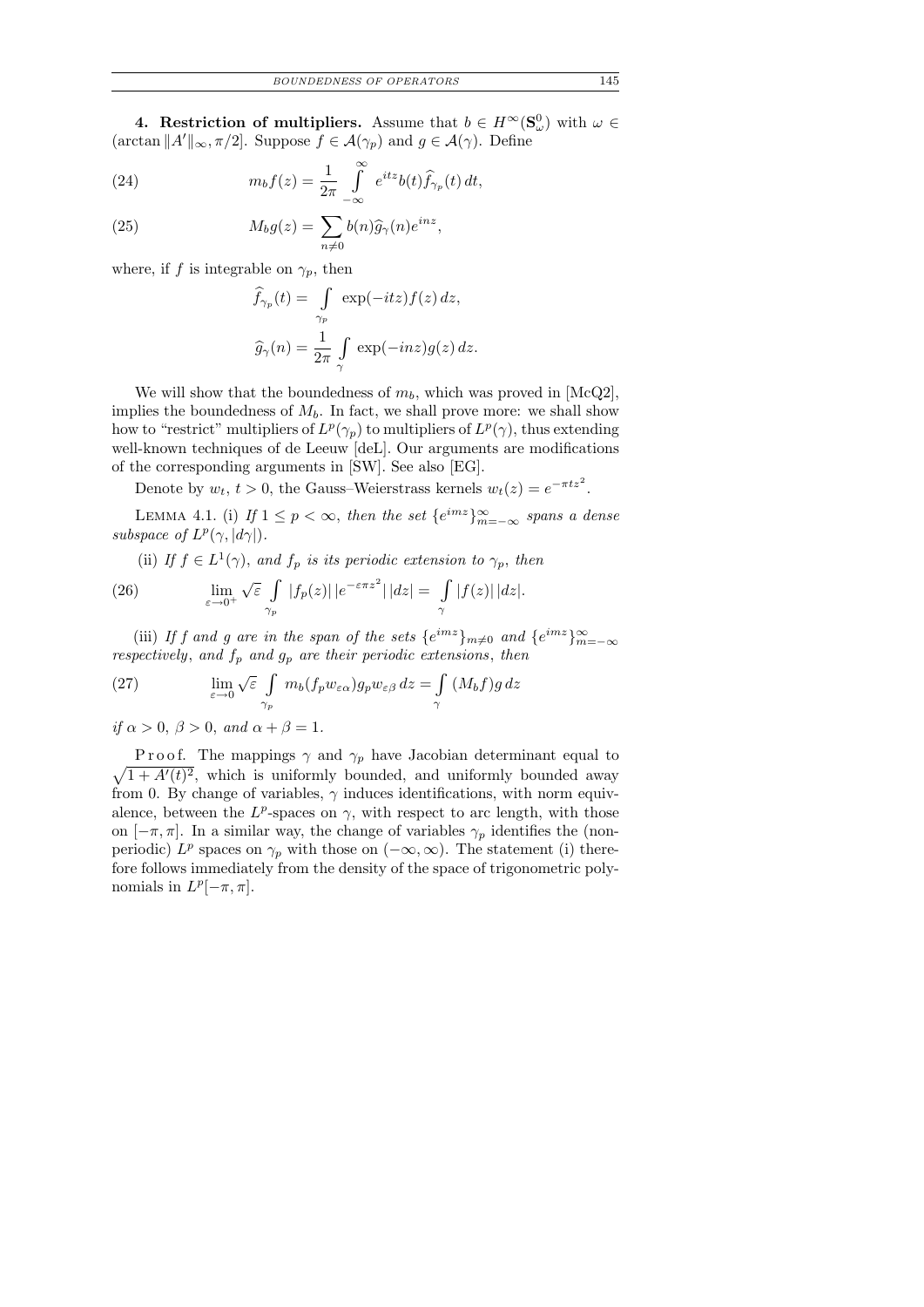**4. Restriction of multipliers.** Assume that  $b \in H^{\infty}(\mathbf{S}_{\omega}^0)$  with  $\omega \in$  $(\arctan ||A'||_{\infty}, \pi/2]$ . Suppose  $f \in \mathcal{A}(\gamma_p)$  and  $g \in \mathcal{A}(\gamma)$ . Define

(24) 
$$
m_b f(z) = \frac{1}{2\pi} \int_{-\infty}^{\infty} e^{itz} b(t) \widehat{f}_{\gamma_p}(t) dt,
$$

(25) 
$$
M_b g(z) = \sum_{n \neq 0} b(n) \widehat{g}_{\gamma}(n) e^{inz},
$$

where, if f is integrable on  $\gamma_p$ , then

$$
\widehat{f}_{\gamma_p}(t) = \int_{\gamma_p} \exp(-itz) f(z) dz,
$$
  

$$
\widehat{g}_{\gamma}(n) = \frac{1}{2\pi} \int_{\gamma} \exp(-inz) g(z) dz.
$$

We will show that the boundedness of  $m_b$ , which was proved in [McQ2], implies the boundedness of  $M_b$ . In fact, we shall prove more: we shall show how to "restrict" multipliers of  $L^p(\gamma_p)$  to multipliers of  $L^p(\gamma)$ , thus extending well-known techniques of de Leeuw [deL]. Our arguments are modifications of the corresponding arguments in [SW]. See also [EG].

Denote by  $w_t$ ,  $t > 0$ , the Gauss–Weierstrass kernels  $w_t(z) = e^{-\pi tz^2}$ .

LEMMA 4.1. (i) If  $1 \leq p < \infty$ , then the set  $\{e^{imz}\}_{m=-\infty}^{\infty}$  spans a dense subspace of  $L^p(\gamma, |d\gamma|)$ .

(ii) If  $f \in L^1(\gamma)$ , and  $f_p$  is its periodic extension to  $\gamma_p$ , then

(26) 
$$
\lim_{\varepsilon \to 0^+} \sqrt{\varepsilon} \int_{\gamma_p} |f_p(z)| \, |e^{-\varepsilon \pi z^2}| \, |dz| = \int_{\gamma} |f(z)| \, |dz|.
$$

(iii) If f and g are in the span of the sets  $\{e^{imz}\}_{m\neq0}$  and  $\{e^{imz}\}_{m=-\infty}^{\infty}$ respectively, and  $f_p$  and  $g_p$  are their periodic extensions, then

(27) 
$$
\lim_{\varepsilon \to 0} \sqrt{\varepsilon} \int_{\gamma_p} m_b(f_p w_{\varepsilon \alpha}) g_p w_{\varepsilon \beta} dz = \int_{\gamma} (M_b f) g dz
$$

if  $\alpha > 0$ ,  $\beta > 0$ , and  $\alpha + \beta = 1$ .

 $\sqrt{1 + A'(t)^2}$ , which is uniformly bounded, and uniformly bounded away P r o o f. The mappings  $\gamma$  and  $\gamma_p$  have Jacobian determinant equal to from 0. By change of variables,  $\gamma$  induces identifications, with norm equivalence, between the  $L^p$ -spaces on  $\gamma$ , with respect to arc length, with those on  $[-\pi, \pi]$ . In a similar way, the change of variables  $\gamma_p$  identifies the (nonperiodic)  $L^p$  spaces on  $\gamma_p$  with those on  $(-\infty, \infty)$ . The statement (i) therefore follows immediately from the density of the space of trigonometric polynomials in  $L^p[-\pi, \pi]$ .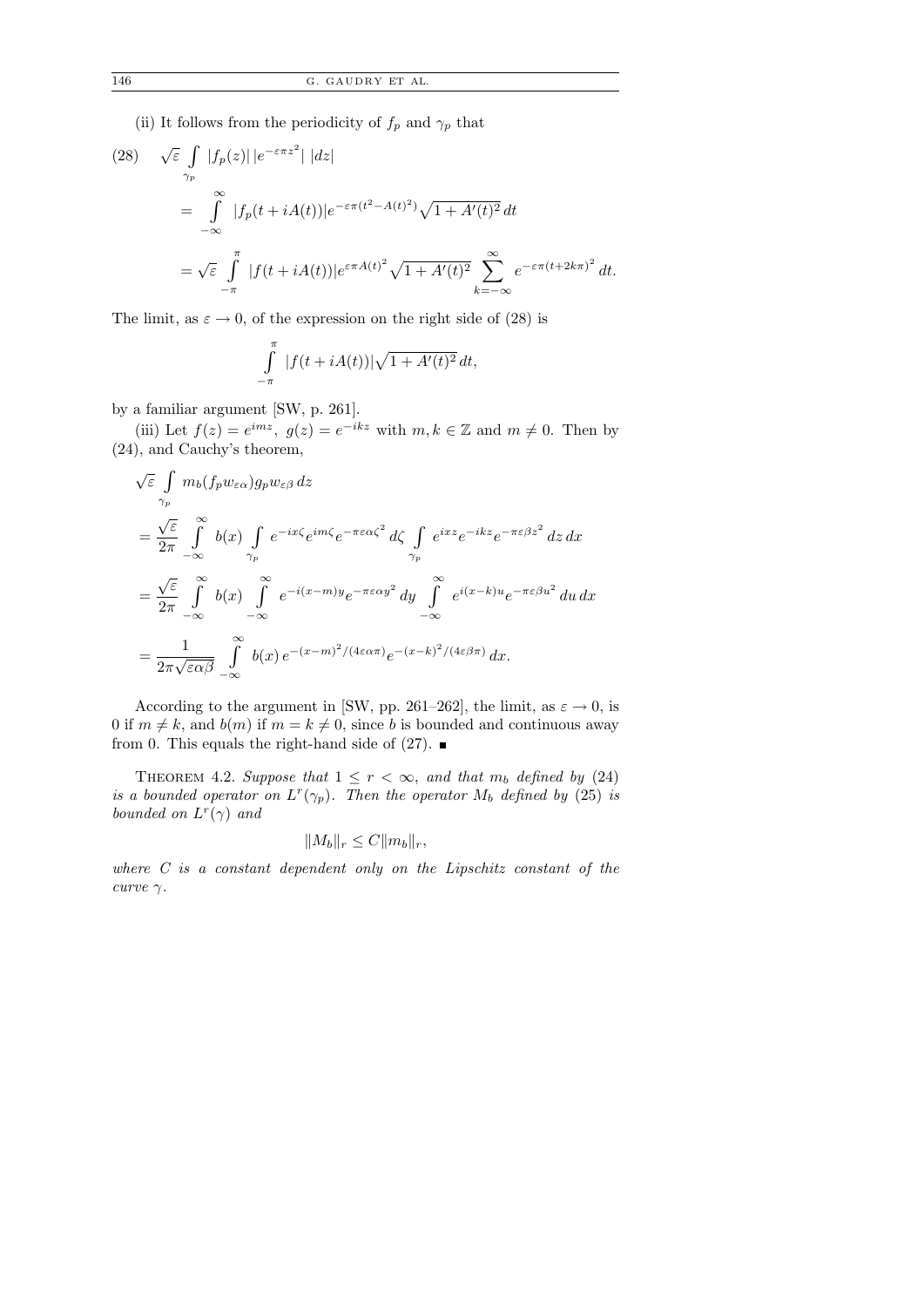(ii) It follows from the periodicity of  $f_p$  and  $\gamma_p$  that

(28) 
$$
\sqrt{\varepsilon} \int_{\gamma_p} |f_p(z)| |e^{-\varepsilon \pi z^2}| |dz|
$$
  
\n
$$
= \int_{-\infty}^{\infty} |f_p(t + iA(t))| e^{-\varepsilon \pi (t^2 - A(t)^2)} \sqrt{1 + A'(t)^2} dt
$$
  
\n
$$
= \sqrt{\varepsilon} \int_{-\pi}^{\pi} |f(t + iA(t))| e^{\varepsilon \pi A(t)^2} \sqrt{1 + A'(t)^2} \sum_{k=-\infty}^{\infty} e^{-\varepsilon \pi (t + 2k\pi)^2} dt.
$$

The limit, as  $\varepsilon \to 0$ , of the expression on the right side of (28) is

$$
\int_{-\pi}^{\pi} |f(t + iA(t))| \sqrt{1 + A'(t)^2} dt,
$$

by a familiar argument [SW, p. 261].

(iii) Let  $f(z) = e^{imz}$ ,  $g(z) = e^{-ikz}$  with  $m, k \in \mathbb{Z}$  and  $m \neq 0$ . Then by (24), and Cauchy's theorem,

$$
\sqrt{\varepsilon} \int_{\gamma_P} m_b(f_p w_{\varepsilon \alpha}) g_p w_{\varepsilon \beta} dz
$$
\n
$$
= \frac{\sqrt{\varepsilon}}{2\pi} \int_{-\infty}^{\infty} b(x) \int_{\gamma_P} e^{-ix\zeta} e^{im\zeta} e^{-\pi \varepsilon \alpha \zeta^2} d\zeta \int_{\gamma_P} e^{ixz} e^{-ikz} e^{-\pi \varepsilon \beta z^2} dz dx
$$
\n
$$
= \frac{\sqrt{\varepsilon}}{2\pi} \int_{-\infty}^{\infty} b(x) \int_{-\infty}^{\infty} e^{-i(x-m)y} e^{-\pi \varepsilon \alpha y^2} dy \int_{-\infty}^{\infty} e^{i(x-k)u} e^{-\pi \varepsilon \beta u^2} du dx
$$
\n
$$
= \frac{1}{2\pi \sqrt{\varepsilon \alpha \beta}} \int_{-\infty}^{\infty} b(x) e^{-(x-m)^2/(4\varepsilon \alpha \pi)} e^{-(x-k)^2/(4\varepsilon \beta \pi)} dx.
$$

According to the argument in [SW, pp. 261–262], the limit, as  $\varepsilon \to 0$ , is 0 if  $m \neq k$ , and  $b(m)$  if  $m = k \neq 0$ , since b is bounded and continuous away from 0. This equals the right-hand side of  $(27)$ .

THEOREM 4.2. Suppose that  $1 \leq r < \infty$ , and that  $m_b$  defined by (24) is a bounded operator on  $L^r(\gamma_p)$ . Then the operator  $M_b$  defined by (25) is bounded on  $L^r(\gamma)$  and

$$
||M_b||_r \le C||m_b||_r,
$$

where C is a constant dependent only on the Lipschitz constant of the curve  $\gamma$ .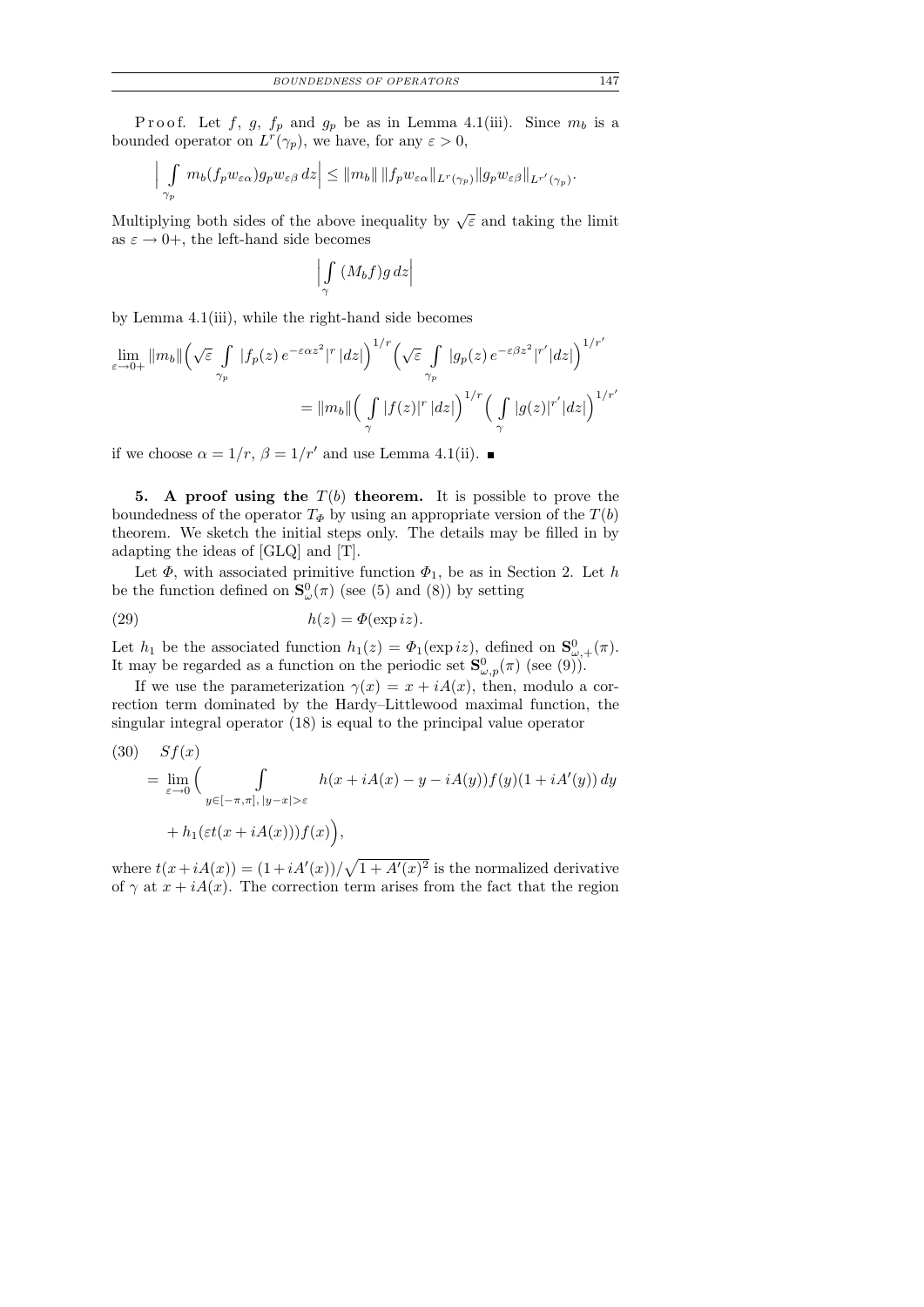P r o o f. Let f, g,  $f_p$  and  $g_p$  be as in Lemma 4.1(iii). Since  $m_b$  is a bounded operator on  $L^r(\gamma_p)$ , we have, for any  $\varepsilon > 0$ ,

$$
\left|\int_{\gamma_p} m_b(f_p w_{\varepsilon \alpha}) g_p w_{\varepsilon \beta} dz\right| \leq ||m_b|| \, ||f_p w_{\varepsilon \alpha}||_{L^r(\gamma_p)} ||g_p w_{\varepsilon \beta}||_{L^{r'}(\gamma_p)}.
$$

Multiplying both sides of the above inequality by  $\sqrt{\varepsilon}$  and taking the limit as  $\varepsilon \to 0^+$ , the left-hand side becomes

> R γ  $(M_b f)g\,dz$

by Lemma 4.1(iii), while the right-hand side becomes

$$
\lim_{\varepsilon \to 0+} \|m_b\| \left(\sqrt{\varepsilon} \int_{\gamma_p} |f_p(z) e^{-\varepsilon \alpha z^2}|^r |dz|\right)^{1/r} \left(\sqrt{\varepsilon} \int_{\gamma_p} |g_p(z) e^{-\varepsilon \beta z^2}|^{r'} |dz|\right)^{1/r'}
$$

$$
= \|m_b\| \left(\int_{\gamma} |f(z)|^r |dz|\right)^{1/r} \left(\int_{\gamma} |g(z)|^{r'} |dz|\right)^{1/r'}
$$

if we choose  $\alpha = 1/r$ ,  $\beta = 1/r'$  and use Lemma 4.1(ii).

5. A proof using the  $T(b)$  theorem. It is possible to prove the boundedness of the operator  $T_{\Phi}$  by using an appropriate version of the  $T(b)$ theorem. We sketch the initial steps only. The details may be filled in by adapting the ideas of [GLQ] and [T].

Let  $\Phi$ , with associated primitive function  $\Phi_1$ , be as in Section 2. Let h be the function defined on  $\mathbf{S}_{\omega}^{0}(\pi)$  (see (5) and (8)) by setting

(29) 
$$
h(z) = \Phi(\exp iz).
$$

Let  $h_1$  be the associated function  $h_1(z) = \Phi_1(\exp iz)$ , defined on  $\mathbf{S}_{\omega,+}^0(\pi)$ . It may be regarded as a function on the periodic set  $\mathbf{S}^0_{\omega,p}(\pi)$  (see (9)).

If we use the parameterization  $\gamma(x) = x + iA(x)$ , then, modulo a correction term dominated by the Hardy–Littlewood maximal function, the singular integral operator (18) is equal to the principal value operator

(30) 
$$
Sf(x)
$$
  
= 
$$
\lim_{\varepsilon \to 0} \Big( \int_{y \in [-\pi,\pi], |y-x| > \varepsilon} h(x + iA(x) - y - iA(y))f(y)(1 + iA'(y)) dy
$$
  
+ 
$$
h_1(\varepsilon t(x + iA(x)))f(x) \Big),
$$

where  $t(x+iA(x)) = (1+iA'(x))/\sqrt{1+A'(x)^2}$  is the normalized derivative of  $\gamma$  at  $x + iA(x)$ . The correction term arises from the fact that the region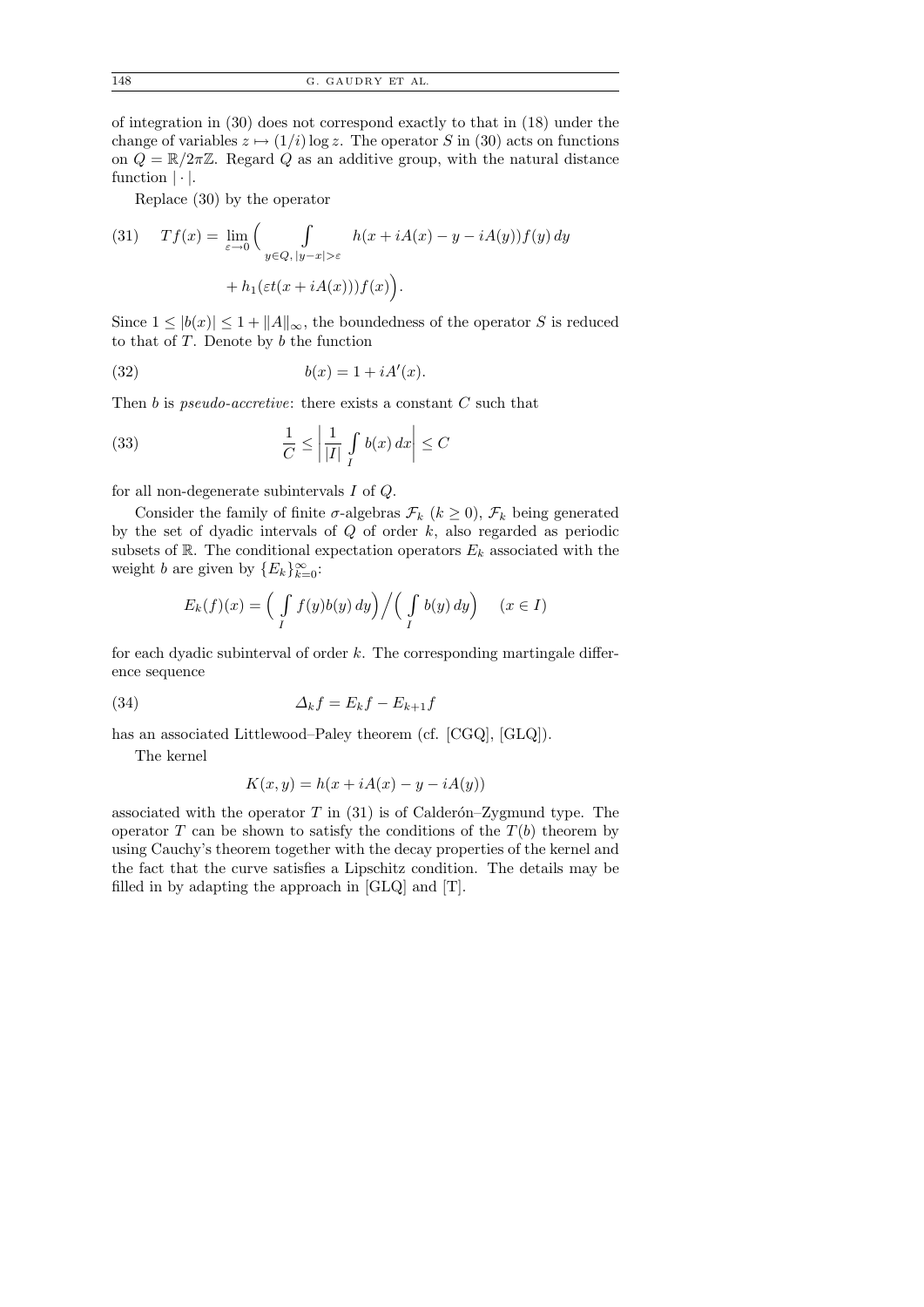of integration in (30) does not correspond exactly to that in (18) under the change of variables  $z \mapsto (1/i) \log z$ . The operator S in (30) acts on functions on  $Q = \mathbb{R}/2\pi\mathbb{Z}$ . Regard Q as an additive group, with the natural distance function  $|\cdot|$ .

Replace (30) by the operator

(31) 
$$
Tf(x) = \lim_{\varepsilon \to 0} \left( \int_{y \in Q, |y-x| > \varepsilon} h(x + iA(x) - y - iA(y)) f(y) dy + h_1(\varepsilon t(x + iA(x))) f(x) \right).
$$

Since  $1 \leq |b(x)| \leq 1 + ||A||_{\infty}$ , the boundedness of the operator S is reduced to that of  $T$ . Denote by  $b$  the function

$$
(32) \t\t b(x) = 1 + iA'(x).
$$

Then b is *pseudo-accretive*: there exists a constant  $C$  such that

(33) 
$$
\frac{1}{C} \le \left| \frac{1}{|I|} \int_{I} b(x) dx \right| \le C
$$

for all non-degenerate subintervals I of Q.

Consider the family of finite  $\sigma$ -algebras  $\mathcal{F}_k$  ( $k \geq 0$ ),  $\mathcal{F}_k$  being generated by the set of dyadic intervals of  $Q$  of order  $k$ , also regarded as periodic subsets of  $\mathbb{R}$ . The conditional expectation operators  $E_k$  associated with the weight b are given by  ${E_k}_{k=0}^{\infty}$ :

$$
E_k(f)(x) = \left(\int_I f(y)b(y) \, dy\right) \Big/ \left(\int_I b(y) \, dy\right) \quad (x \in I)
$$

for each dyadic subinterval of order  $k$ . The corresponding martingale difference sequence

$$
(34) \t\t \t\t \Delta_k f = E_k f - E_{k+1} f
$$

has an associated Littlewood–Paley theorem (cf. [CGQ], [GLQ]).

The kernel

$$
K(x, y) = h(x + iA(x) - y - iA(y))
$$

associated with the operator  $T$  in (31) is of Calderón–Zygmund type. The operator T can be shown to satisfy the conditions of the  $T(b)$  theorem by using Cauchy's theorem together with the decay properties of the kernel and the fact that the curve satisfies a Lipschitz condition. The details may be filled in by adapting the approach in [GLQ] and [T].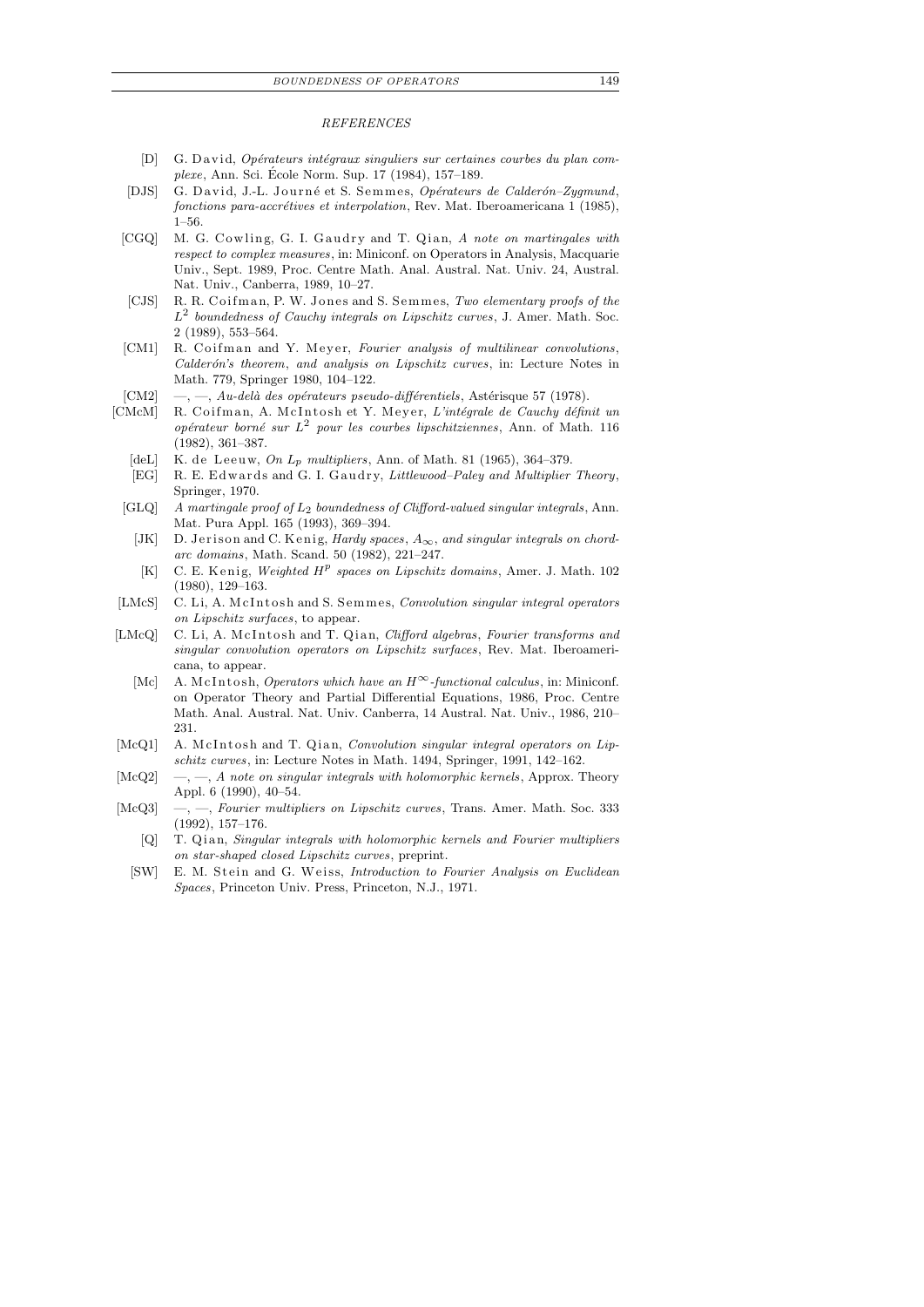## *REFERENCES*

- [D] G. David, *Opérateurs intégraux singuliers sur certaines courbes du plan complexe*, Ann. Sci. Ecole Norm. Sup. 17 (1984), 157–189. ´
- [DJS] G. David, J.-L. Journé et S. Semmes, *Opérateurs de Calderón-Zygmund*, *fonctions para-accrétives et interpolation*, Rev. Mat. Iberoamericana 1 (1985), 1–56.
- [CGQ] M. G. Cowling, G. I. Gaudry and T. Qian, *A note on martingales with respect to complex measures*, in: Miniconf. on Operators in Analysis, Macquarie Univ., Sept. 1989, Proc. Centre Math. Anal. Austral. Nat. Univ. 24, Austral. Nat. Univ., Canberra, 1989, 10–27.
- [CJS] R. R. Coifman, P. W. Jones and S. Semmes, *Two elementary proofs of the L* 2 *boundedness of Cauchy integrals on Lipschitz curves*, J. Amer. Math. Soc. 2 (1989), 553–564.
- [CM1] R. Coifman and Y. Meyer, *Fourier analysis of multilinear convolutions*, *Calder´on's theorem*, *and analysis on Lipschitz curves*, in: Lecture Notes in Math. 779, Springer 1980, 104–122.
- [CM2] —, —, *Au-delà des opérateurs pseudo-différentiels*, Astérisque 57 (1978).
- [CMcM] R. Coifman, A. McIntosh et Y. Meyer, *L'intégrale de Cauchy définit un op´erateur born´e sur L* 2 *pour les courbes lipschitziennes*, Ann. of Math. 116 (1982), 361–387.
	- [deL] K. de Leeuw, On  $L_p$  multipliers, Ann. of Math. 81 (1965), 364-379.
	- [EG] R. E. Edwards and G. I. Gaudry, *Littlewood-Paley and Multiplier Theory*, Springer, 1970.
	- [GLQ] *A martingale proof of L*2 *boundedness of Clifford-valued singular integrals*, Ann. Mat. Pura Appl. 165 (1993), 369–394.
		- [JK] D. Jerison and C. Kenig, *Hardy spaces*,  $A_{\infty}$ , and singular integrals on chord*arc domains*, Math. Scand. 50 (1982), 221–247.
		- [K] C. E. Kenig, *Weighted*  $H^p$  spaces on Lipschitz domains, Amer. J. Math. 102 (1980), 129–163.
- [LMcS] C. Li, A. McIntosh and S. Semmes, *Convolution singular integral operators on Lipschitz surfaces*, to appear.
- [LMcQ] C. Li, A. McIntosh and T. Qian, *Clifford algebras*, *Fourier transforms and singular convolution operators on Lipschitz surfaces*, Rev. Mat. Iberoamericana, to appear.
	- [Mc] A. McIntosh, *Operators which have an*  $H^{\infty}$ -functional calculus, in: Miniconf. on Operator Theory and Partial Differential Equations, 1986, Proc. Centre Math. Anal. Austral. Nat. Univ. Canberra, 14 Austral. Nat. Univ., 1986, 210– 231.
- [McQ1] A. McIntosh and T. Qian, *Convolution singular integral operators on Lipschitz curves*, in: Lecture Notes in Math. 1494, Springer, 1991, 142–162.
- [McQ2] —, —, *A note on singular integrals with holomorphic kernels*, Approx. Theory Appl. 6 (1990), 40–54.
- [McQ3] —, —, *Fourier multipliers on Lipschitz curves*, Trans. Amer. Math. Soc. 333 (1992), 157–176.
	- [Q] T. Qian, *Singular integrals with holomorphic kernels and Fourier multipliers on star-shaped closed Lipschitz curves*, preprint.
	- [SW] E. M. Stein and G. Weiss, *Introduction to Fourier Analysis on Euclidean Spaces*, Princeton Univ. Press, Princeton, N.J., 1971.